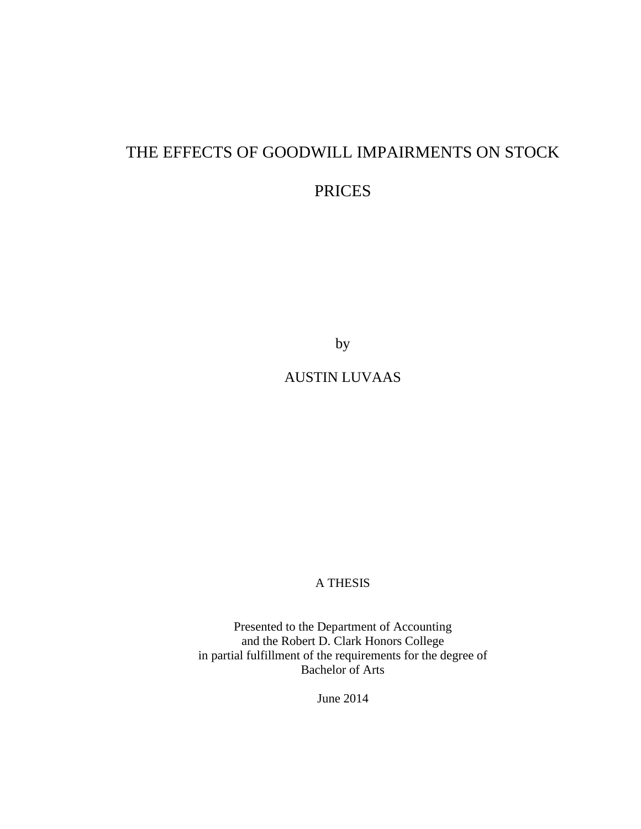# THE EFFECTS OF GOODWILL IMPAIRMENTS ON STOCK

# PRICES

by

# AUSTIN LUVAAS

## A THESIS

Presented to the Department of Accounting and the Robert D. Clark Honors College in partial fulfillment of the requirements for the degree of Bachelor of Arts

June 2014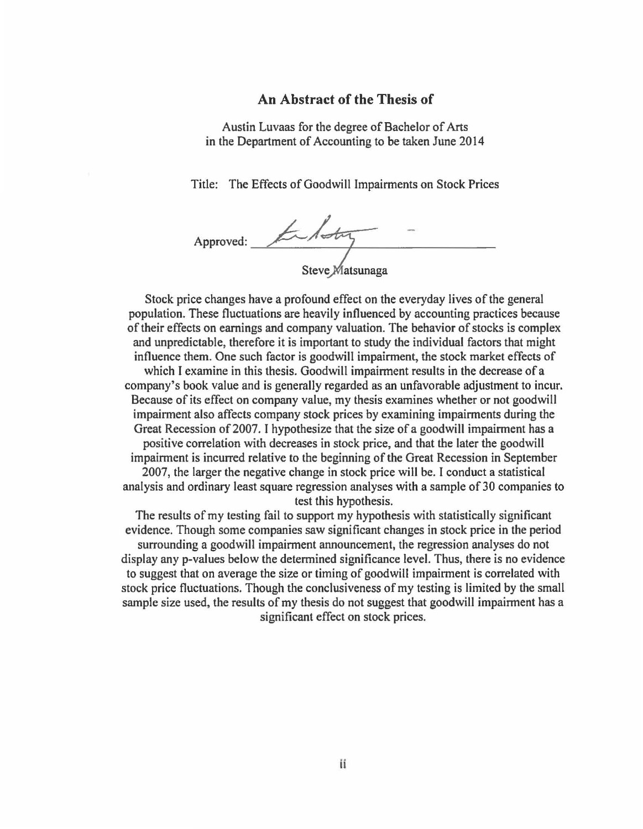#### **An Abstract of the Thesis of**

Austin Luvaas for the degree of Bachelor of Arts in the Department of Accounting to be taken June 2014

Title: The Effects of Goodwill Impairments on Stock Prices

Approved: Entry Steve Matsunaga

Stock price changes have a profound effect on the everyday lives of the general population. These fluctuations are heavily influenced by accounting practices because of their effects on earnings and company valuation. The behavior of stocks is complex and unpredictable, therefore it is important to study the individual factors that might influence them. One such factor is goodwill impairment, the stock market effects of which I examine in this thesis. Goodwill impairment results in the decrease of a company's book value and is generally regarded as an unfavorable adjustment to incur. Because of its effect on company value, my thesis examines whether or not goodwill impairment also affects company stock prices by examining impairments during the Great Recession of 2007. I hypothesize that the size of a goodwill impairment has a positive correlation with decreases in stock price, and that the later the goodwill impairment is incurred relative to the beginning of the Great Recession in September 2007, the larger the negative change in stock price will be. I conduct a statistical analysis and ordinary least square regression analyses with a sample of 30 companies to test this hypothesis.

The results of my testing fail to support my hypothesis with statistically significant evidence. Though some companies saw significant changes in stock price in the period surrounding a goodwill impairment announcement, the regression analyses do not display any p-values below the determined significance level. Thus, there is no evidence to suggest that on average the size or timing of goodwill impairment is correlated with stock price fluctuations. Though the conclusiveness of my testing is limited by the small sample size used, the results of my thesis do not suggest that goodwill impairment has a significant effect on stock prices.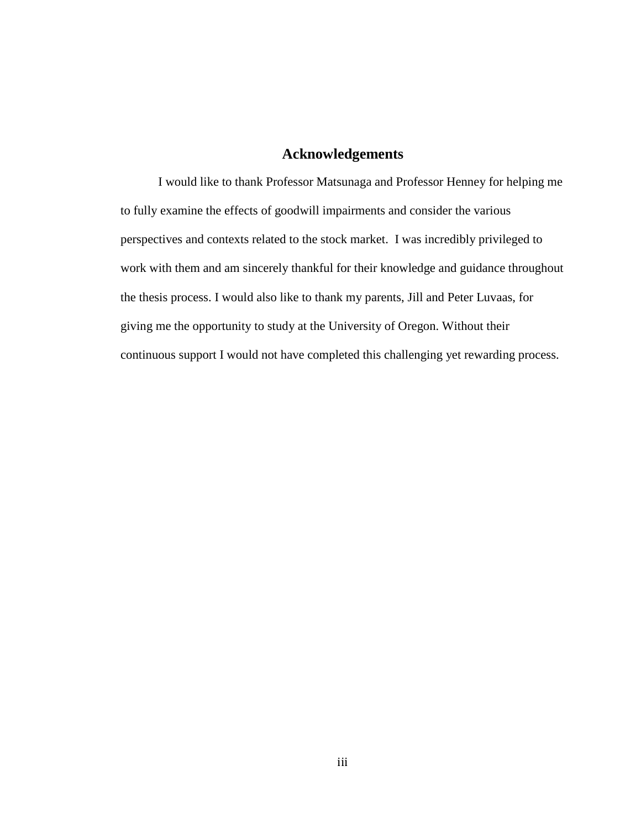# **Acknowledgements**

I would like to thank Professor Matsunaga and Professor Henney for helping me to fully examine the effects of goodwill impairments and consider the various perspectives and contexts related to the stock market. I was incredibly privileged to work with them and am sincerely thankful for their knowledge and guidance throughout the thesis process. I would also like to thank my parents, Jill and Peter Luvaas, for giving me the opportunity to study at the University of Oregon. Without their continuous support I would not have completed this challenging yet rewarding process.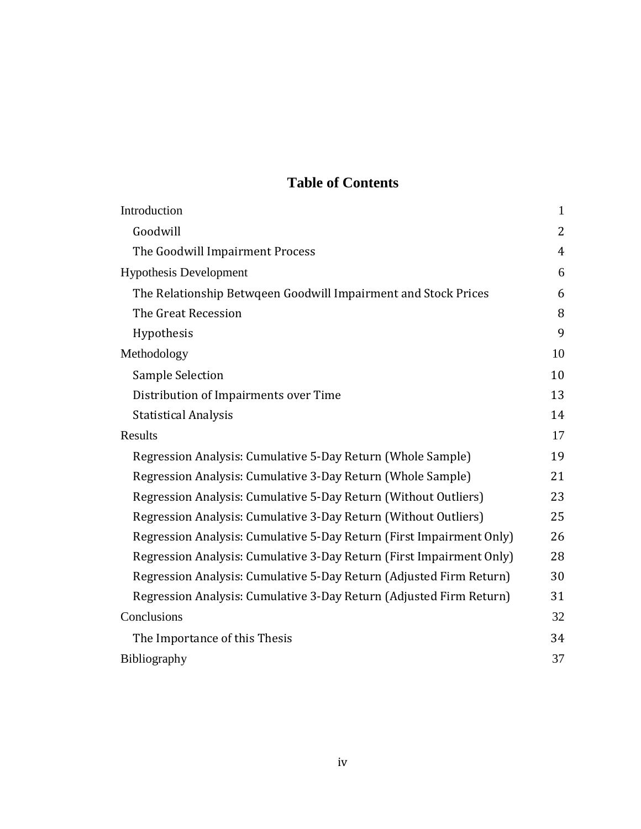# **Table of Contents**

| Introduction                                                         | $\mathbf{1}$   |
|----------------------------------------------------------------------|----------------|
| Goodwill                                                             | $\overline{2}$ |
| The Goodwill Impairment Process                                      | $\overline{4}$ |
| <b>Hypothesis Development</b>                                        | 6              |
| The Relationship Betwgeen Goodwill Impairment and Stock Prices       | 6              |
| The Great Recession                                                  | 8              |
| Hypothesis                                                           | 9              |
| Methodology                                                          | 10             |
| <b>Sample Selection</b>                                              | 10             |
| Distribution of Impairments over Time                                | 13             |
| <b>Statistical Analysis</b>                                          | 14             |
| Results                                                              | 17             |
| Regression Analysis: Cumulative 5-Day Return (Whole Sample)          | 19             |
| Regression Analysis: Cumulative 3-Day Return (Whole Sample)          | 21             |
| Regression Analysis: Cumulative 5-Day Return (Without Outliers)      | 23             |
| Regression Analysis: Cumulative 3-Day Return (Without Outliers)      | 25             |
| Regression Analysis: Cumulative 5-Day Return (First Impairment Only) | 26             |
| Regression Analysis: Cumulative 3-Day Return (First Impairment Only) | 28             |
| Regression Analysis: Cumulative 5-Day Return (Adjusted Firm Return)  | 30             |
| Regression Analysis: Cumulative 3-Day Return (Adjusted Firm Return)  | 31             |
| Conclusions                                                          | 32             |
| The Importance of this Thesis                                        | 34             |
| Bibliography                                                         | 37             |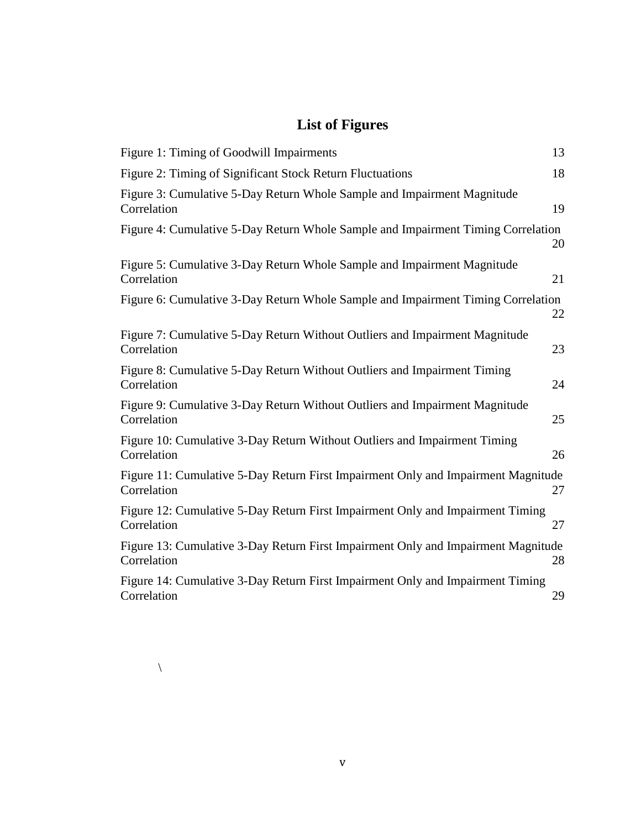# **List of Figures**

| 13<br>Figure 1: Timing of Goodwill Impairments                                                         |  |
|--------------------------------------------------------------------------------------------------------|--|
| 18<br>Figure 2: Timing of Significant Stock Return Fluctuations                                        |  |
| Figure 3: Cumulative 5-Day Return Whole Sample and Impairment Magnitude<br>19<br>Correlation           |  |
| Figure 4: Cumulative 5-Day Return Whole Sample and Impairment Timing Correlation<br>20                 |  |
| Figure 5: Cumulative 3-Day Return Whole Sample and Impairment Magnitude<br>Correlation<br>21           |  |
| Figure 6: Cumulative 3-Day Return Whole Sample and Impairment Timing Correlation<br>22                 |  |
| Figure 7: Cumulative 5-Day Return Without Outliers and Impairment Magnitude<br>Correlation<br>23       |  |
| Figure 8: Cumulative 5-Day Return Without Outliers and Impairment Timing<br>Correlation<br>24          |  |
| Figure 9: Cumulative 3-Day Return Without Outliers and Impairment Magnitude<br>Correlation<br>25       |  |
| Figure 10: Cumulative 3-Day Return Without Outliers and Impairment Timing<br>Correlation<br>26         |  |
| Figure 11: Cumulative 5-Day Return First Impairment Only and Impairment Magnitude<br>Correlation<br>27 |  |
| Figure 12: Cumulative 5-Day Return First Impairment Only and Impairment Timing<br>27<br>Correlation    |  |
| Figure 13: Cumulative 3-Day Return First Impairment Only and Impairment Magnitude<br>Correlation<br>28 |  |
| Figure 14: Cumulative 3-Day Return First Impairment Only and Impairment Timing<br>29<br>Correlation    |  |

\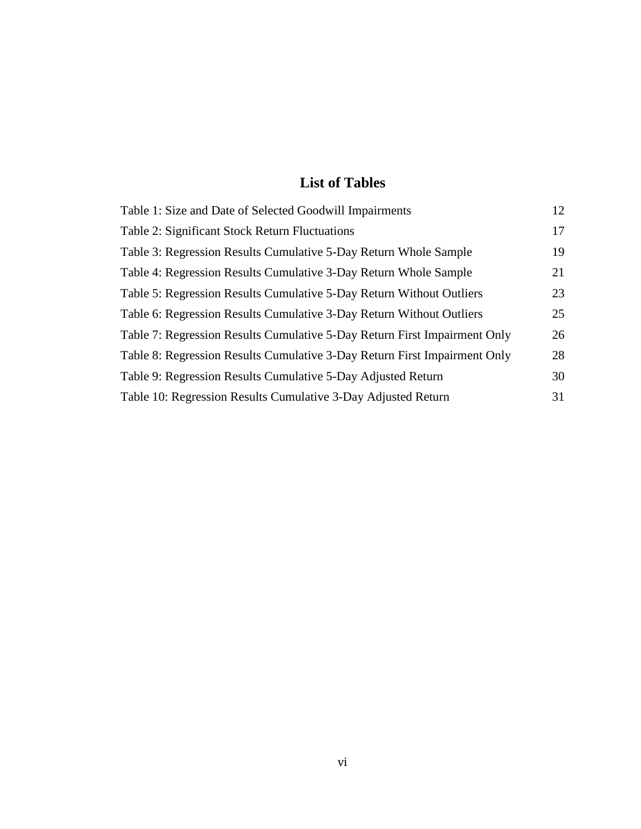# **List of Tables**

| Table 1: Size and Date of Selected Goodwill Impairments                   | 12 |
|---------------------------------------------------------------------------|----|
| Table 2: Significant Stock Return Fluctuations                            | 17 |
| Table 3: Regression Results Cumulative 5-Day Return Whole Sample          | 19 |
| Table 4: Regression Results Cumulative 3-Day Return Whole Sample          | 21 |
| Table 5: Regression Results Cumulative 5-Day Return Without Outliers      | 23 |
| Table 6: Regression Results Cumulative 3-Day Return Without Outliers      | 25 |
| Table 7: Regression Results Cumulative 5-Day Return First Impairment Only | 26 |
| Table 8: Regression Results Cumulative 3-Day Return First Impairment Only | 28 |
| Table 9: Regression Results Cumulative 5-Day Adjusted Return              | 30 |
| Table 10: Regression Results Cumulative 3-Day Adjusted Return             | 31 |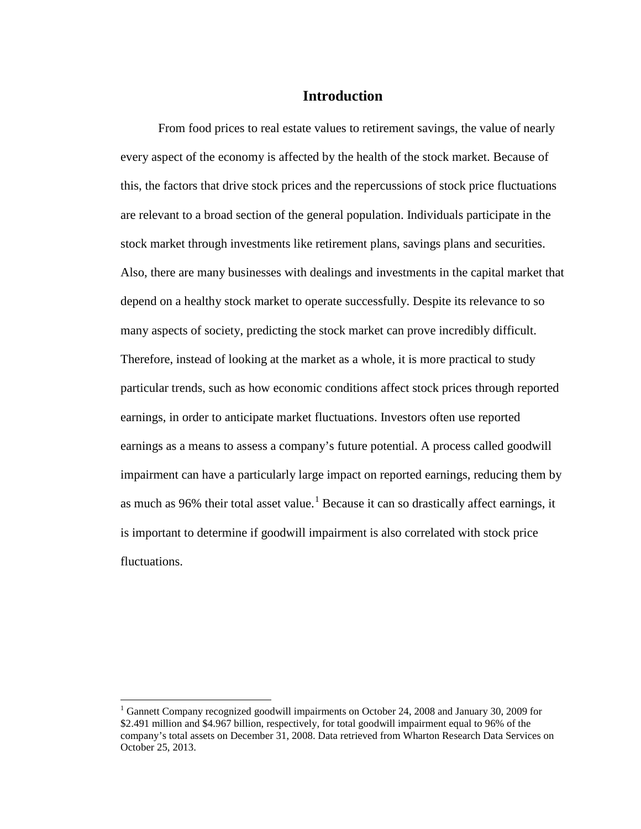### **Introduction**

From food prices to real estate values to retirement savings, the value of nearly every aspect of the economy is affected by the health of the stock market. Because of this, the factors that drive stock prices and the repercussions of stock price fluctuations are relevant to a broad section of the general population. Individuals participate in the stock market through investments like retirement plans, savings plans and securities. Also, there are many businesses with dealings and investments in the capital market that depend on a healthy stock market to operate successfully. Despite its relevance to so many aspects of society, predicting the stock market can prove incredibly difficult. Therefore, instead of looking at the market as a whole, it is more practical to study particular trends, such as how economic conditions affect stock prices through reported earnings, in order to anticipate market fluctuations. Investors often use reported earnings as a means to assess a company's future potential. A process called goodwill impairment can have a particularly large impact on reported earnings, reducing them by as much as 96% their total asset value.<sup>[1](#page-6-0)</sup> Because it can so drastically affect earnings, it is important to determine if goodwill impairment is also correlated with stock price fluctuations.

<span id="page-6-0"></span><sup>&</sup>lt;sup>1</sup> Gannett Company recognized goodwill impairments on October 24, 2008 and January 30, 2009 for \$2.491 million and \$4.967 billion, respectively, for total goodwill impairment equal to 96% of the company's total assets on December 31, 2008. Data retrieved from Wharton Research Data Services on October 25, 2013.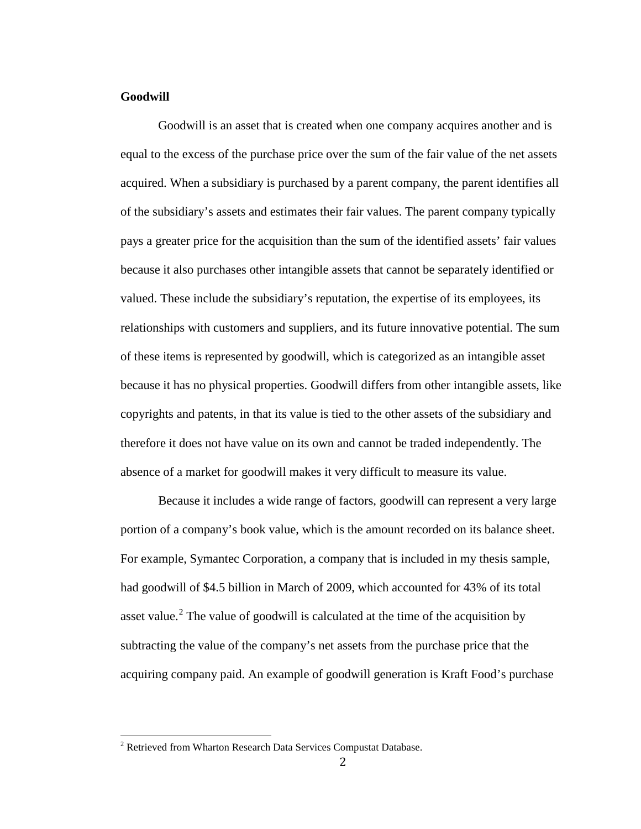#### **Goodwill**

Goodwill is an asset that is created when one company acquires another and is equal to the excess of the purchase price over the sum of the fair value of the net assets acquired. When a subsidiary is purchased by a parent company, the parent identifies all of the subsidiary's assets and estimates their fair values. The parent company typically pays a greater price for the acquisition than the sum of the identified assets' fair values because it also purchases other intangible assets that cannot be separately identified or valued. These include the subsidiary's reputation, the expertise of its employees, its relationships with customers and suppliers, and its future innovative potential. The sum of these items is represented by goodwill, which is categorized as an intangible asset because it has no physical properties. Goodwill differs from other intangible assets, like copyrights and patents, in that its value is tied to the other assets of the subsidiary and therefore it does not have value on its own and cannot be traded independently. The absence of a market for goodwill makes it very difficult to measure its value.

Because it includes a wide range of factors, goodwill can represent a very large portion of a company's book value, which is the amount recorded on its balance sheet. For example, Symantec Corporation, a company that is included in my thesis sample, had goodwill of \$4.5 billion in March of 2009, which accounted for 43% of its total asset value.<sup>[2](#page-7-0)</sup> The value of goodwill is calculated at the time of the acquisition by subtracting the value of the company's net assets from the purchase price that the acquiring company paid. An example of goodwill generation is Kraft Food's purchase

<span id="page-7-0"></span><sup>&</sup>lt;sup>2</sup> Retrieved from Wharton Research Data Services Compustat Database.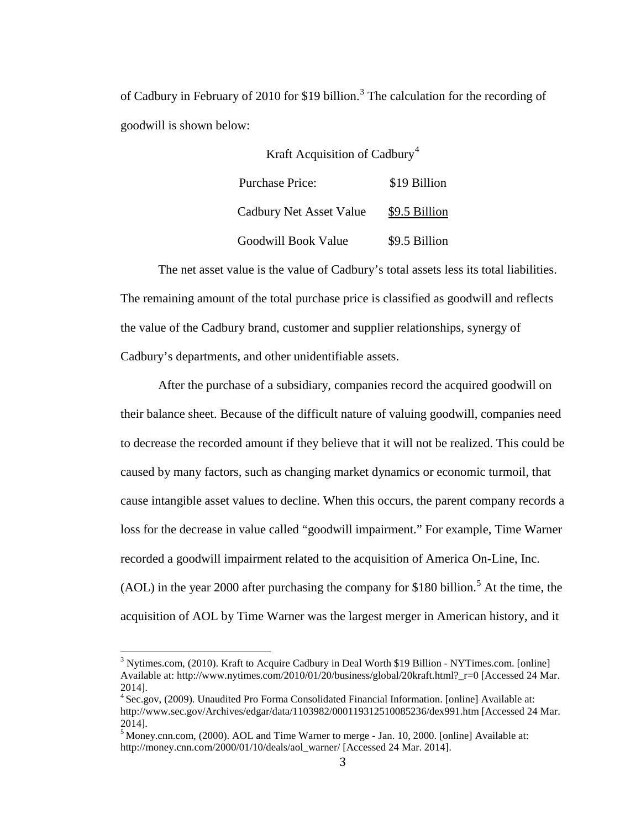of Cadbury in February of 2010 for \$19 billion.<sup>[3](#page-8-0)</sup> The calculation for the recording of goodwill is shown below:

> Kraft Acquisition of Cadbury<sup>[4](#page-8-1)</sup> Purchase Price: \$19 Billion Cadbury Net Asset Value \$9.5 Billion Goodwill Book Value \$9.5 Billion

The net asset value is the value of Cadbury's total assets less its total liabilities. The remaining amount of the total purchase price is classified as goodwill and reflects the value of the Cadbury brand, customer and supplier relationships, synergy of Cadbury's departments, and other unidentifiable assets.

After the purchase of a subsidiary, companies record the acquired goodwill on their balance sheet. Because of the difficult nature of valuing goodwill, companies need to decrease the recorded amount if they believe that it will not be realized. This could be caused by many factors, such as changing market dynamics or economic turmoil, that cause intangible asset values to decline. When this occurs, the parent company records a loss for the decrease in value called "goodwill impairment." For example, Time Warner recorded a goodwill impairment related to the acquisition of America On-Line, Inc. (AOL) in the year 2000 after purchasing the company for \$180 billion.<sup>[5](#page-8-2)</sup> At the time, the acquisition of AOL by Time Warner was the largest merger in American history, and it

<span id="page-8-0"></span><sup>3</sup> Nytimes.com, (2010). Kraft to Acquire Cadbury in Deal Worth \$19 Billion - NYTimes.com. [online] Available at: http://www.nytimes.com/2010/01/20/business/global/20kraft.html?\_r=0 [Accessed 24 Mar. 2014].

<span id="page-8-1"></span><sup>4</sup> Sec.gov, (2009). Unaudited Pro Forma Consolidated Financial Information. [online] Available at: http://www.sec.gov/Archives/edgar/data/1103982/000119312510085236/dex991.htm [Accessed 24 Mar. 2014].

<span id="page-8-2"></span><sup>&</sup>lt;sup>5</sup> Money.cnn.com, (2000). AOL and Time Warner to merge - Jan. 10, 2000. [online] Available at: http://money.cnn.com/2000/01/10/deals/aol\_warner/ [Accessed 24 Mar. 2014].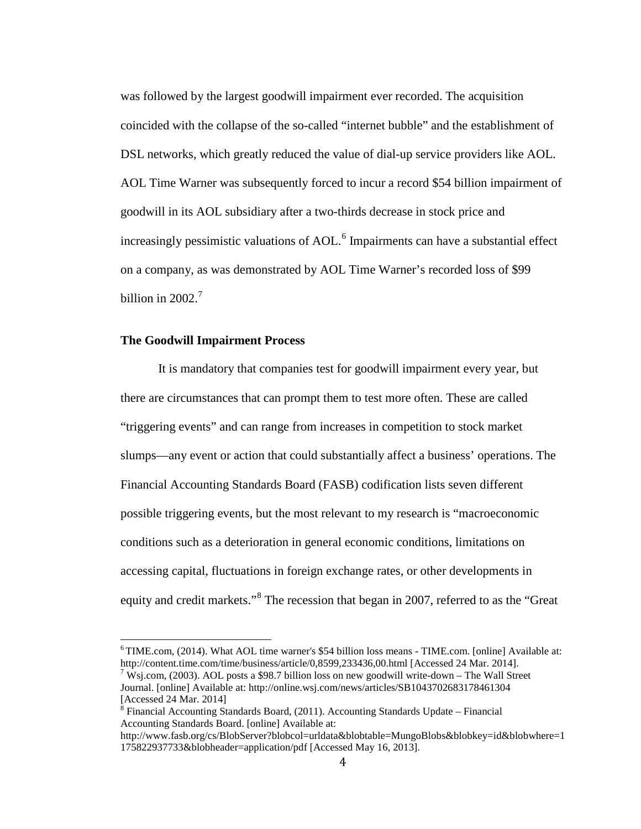was followed by the largest goodwill impairment ever recorded. The acquisition coincided with the collapse of the so-called "internet bubble" and the establishment of DSL networks, which greatly reduced the value of dial-up service providers like AOL. AOL Time Warner was subsequently forced to incur a record \$54 billion impairment of goodwill in its AOL subsidiary after a two-thirds decrease in stock price and increasingly pessimistic valuations of AOL. [6](#page-9-0) Impairments can have a substantial effect on a company, as was demonstrated by AOL Time Warner's recorded loss of \$99 billion in 2002. $^7$  $^7$ 

#### **The Goodwill Impairment Process**

It is mandatory that companies test for goodwill impairment every year, but there are circumstances that can prompt them to test more often. These are called "triggering events" and can range from increases in competition to stock market slumps—any event or action that could substantially affect a business' operations. The Financial Accounting Standards Board (FASB) codification lists seven different possible triggering events, but the most relevant to my research is "macroeconomic conditions such as a deterioration in general economic conditions, limitations on accessing capital, fluctuations in foreign exchange rates, or other developments in equity and credit markets."<sup>[8](#page-9-2)</sup> The recession that began in 2007, referred to as the "Great"

<span id="page-9-0"></span><sup>6</sup> TIME.com, (2014). What AOL time warner's \$54 billion loss means - TIME.com. [online] Available at: http://content.time.com/time/business/article/0,8599,233436,00.html [Accessed 24 Mar. 2014].

<span id="page-9-1"></span><sup>&</sup>lt;sup>7</sup> Wsj.com, (2003). AOL posts a \$98.7 billion loss on new goodwill write-down – The Wall Street Journal. [online] Available at[: http://online.wsj.com/news/articles/SB1043702683178461304](http://online.wsj.com/news/articles/SB1043702683178461304) [Accessed 24 Mar. 2014]

<span id="page-9-2"></span><sup>8</sup> Financial Accounting Standards Board, (2011). Accounting Standards Update – Financial Accounting Standards Board. [online] Available at:

[http://www.fasb.org/cs/BlobServer?blobcol=urldata&blobtable=MungoBlobs&blobkey=id&blobwhere=1](http://www.fasb.org/cs/BlobServer?blobcol=urldata&blobtable=MungoBlobs&blobkey=id&blobwhere=1175822937733&blobheader=application/pdf) [175822937733&blobheader=application/pdf](http://www.fasb.org/cs/BlobServer?blobcol=urldata&blobtable=MungoBlobs&blobkey=id&blobwhere=1175822937733&blobheader=application/pdf) [Accessed May 16, 2013].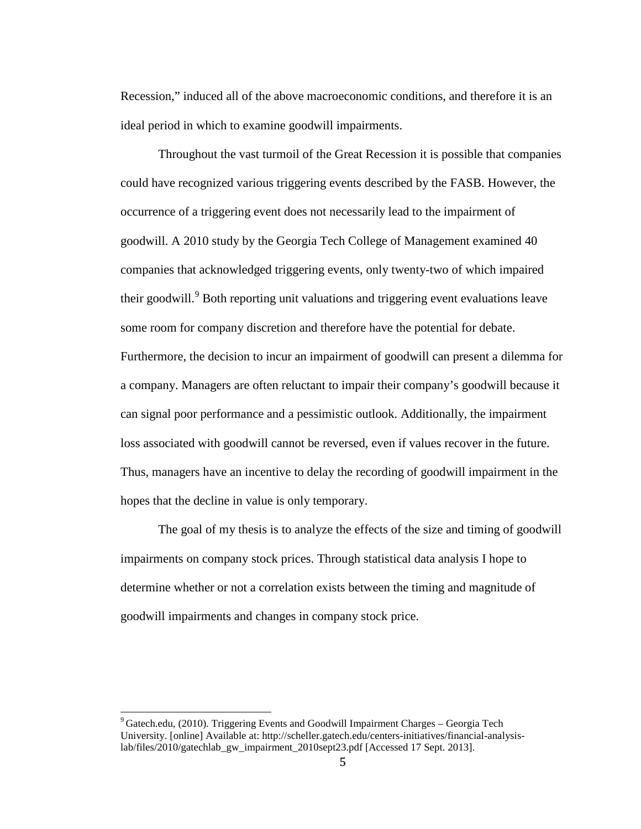Recession," induced all of the above macroeconomic conditions, and therefore it is an ideal period in which to examine goodwill impairments.

Throughout the vast turmoil of the Great Recession it is possible that companies could have recognized various triggering events described by the FASB. However, the occurrence of a triggering event does not necessarily lead to the impairment of goodwill. A 2010 study by the Georgia Tech College of Management examined 40 companies that acknowledged triggering events, only twenty-two of which impaired their goodwill.<sup>[9](#page-10-0)</sup> Both reporting unit valuations and triggering event evaluations leave some room for company discretion and therefore have the potential for debate. Furthermore, the decision to incur an impairment of goodwill can present a dilemma for a company. Managers are often reluctant to impair their company's goodwill because it can signal poor performance and a pessimistic outlook. Additionally, the impairment loss associated with goodwill cannot be reversed, even if values recover in the future. Thus, managers have an incentive to delay the recording of goodwill impairment in the hopes that the decline in value is only temporary.

The goal of my thesis is to analyze the effects of the size and timing of goodwill impairments on company stock prices. Through statistical data analysis I hope to determine whether or not a correlation exists between the timing and magnitude of goodwill impairments and changes in company stock price.

<span id="page-10-0"></span> $9^9$  Gatech.edu, (2010). Triggering Events and Goodwill Impairment Charges – Georgia Tech University. [online] Available at: [http://scheller.gatech.edu/centers-initiatives/financial-analysis](http://scheller.gatech.edu/centers-initiatives/financial-analysis-lab/files/2010/gatechlab_gw_impairment_2010sept23.pdf)[lab/files/2010/gatechlab\\_gw\\_impairment\\_2010sept23.pdf](http://scheller.gatech.edu/centers-initiatives/financial-analysis-lab/files/2010/gatechlab_gw_impairment_2010sept23.pdf) [Accessed 17 Sept. 2013].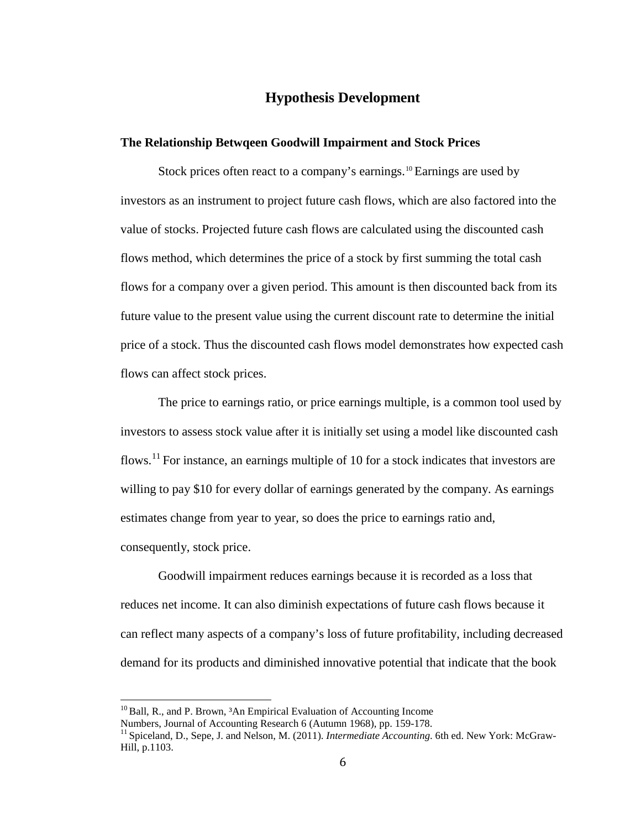# **Hypothesis Development**

#### **The Relationship Betwqeen Goodwill Impairment and Stock Prices**

Stock prices often react to a company's earnings.<sup>[10](#page-11-0)</sup> Earnings are used by investors as an instrument to project future cash flows, which are also factored into the value of stocks. Projected future cash flows are calculated using the discounted cash flows method, which determines the price of a stock by first summing the total cash flows for a company over a given period. This amount is then discounted back from its future value to the present value using the current discount rate to determine the initial price of a stock. Thus the discounted cash flows model demonstrates how expected cash flows can affect stock prices.

The price to earnings ratio, or price earnings multiple, is a common tool used by investors to assess stock value after it is initially set using a model like discounted cash flows.<sup>[11](#page-11-1)</sup> For instance, an earnings multiple of 10 for a stock indicates that investors are willing to pay \$10 for every dollar of earnings generated by the company. As earnings estimates change from year to year, so does the price to earnings ratio and, consequently, stock price.

Goodwill impairment reduces earnings because it is recorded as a loss that reduces net income. It can also diminish expectations of future cash flows because it can reflect many aspects of a company's loss of future profitability, including decreased demand for its products and diminished innovative potential that indicate that the book

<span id="page-11-0"></span><sup>&</sup>lt;sup>10</sup> Ball, R., and P. Brown,  ${}^{3}$ An Empirical Evaluation of Accounting Income Numbers, Journal of Accounting Research 6 (Autumn 1968), pp. 159-178.

<span id="page-11-1"></span><sup>&</sup>lt;sup>11</sup> Spiceland. D., Sepe, J. and Nelson, M. (2011). *Intermediate Accounting*. 6th ed. New York: McGraw-Hill, p.1103.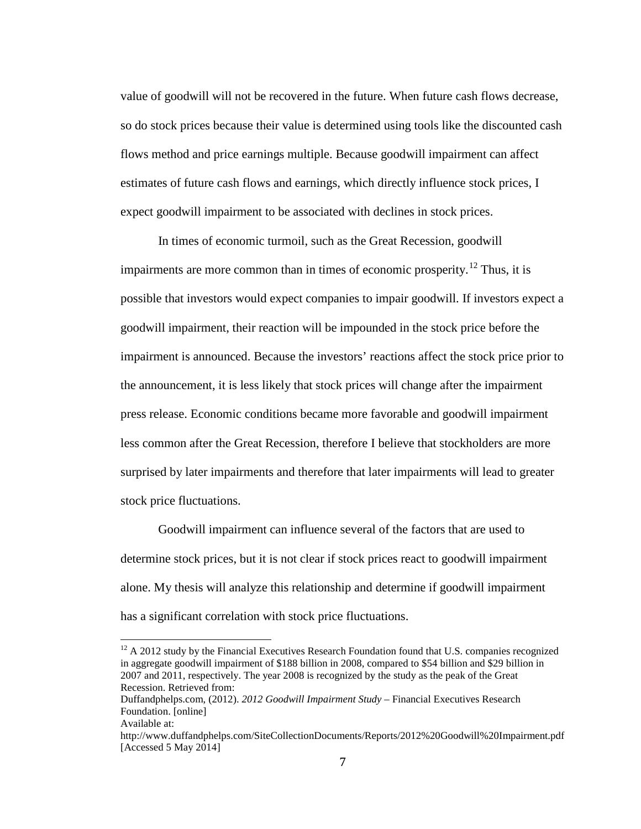value of goodwill will not be recovered in the future. When future cash flows decrease, so do stock prices because their value is determined using tools like the discounted cash flows method and price earnings multiple. Because goodwill impairment can affect estimates of future cash flows and earnings, which directly influence stock prices, I expect goodwill impairment to be associated with declines in stock prices.

In times of economic turmoil, such as the Great Recession, goodwill impairments are more common than in times of economic prosperity.<sup>[12](#page-12-0)</sup> Thus, it is possible that investors would expect companies to impair goodwill. If investors expect a goodwill impairment, their reaction will be impounded in the stock price before the impairment is announced. Because the investors' reactions affect the stock price prior to the announcement, it is less likely that stock prices will change after the impairment press release. Economic conditions became more favorable and goodwill impairment less common after the Great Recession, therefore I believe that stockholders are more surprised by later impairments and therefore that later impairments will lead to greater stock price fluctuations.

Goodwill impairment can influence several of the factors that are used to determine stock prices, but it is not clear if stock prices react to goodwill impairment alone. My thesis will analyze this relationship and determine if goodwill impairment has a significant correlation with stock price fluctuations.

<span id="page-12-0"></span> $12$  A 2012 study by the Financial Executives Research Foundation found that U.S. companies recognized in aggregate goodwill impairment of \$188 billion in 2008, compared to \$54 billion and \$29 billion in 2007 and 2011, respectively. The year 2008 is recognized by the study as the peak of the Great Recession. Retrieved from:

Duffandphelps.com, (2012). *2012 Goodwill Impairment Study* – Financial Executives Research Foundation. [online]

Available at:

<http://www.duffandphelps.com/SiteCollectionDocuments/Reports/2012%20Goodwill%20Impairment.pdf> [Accessed 5 May 2014]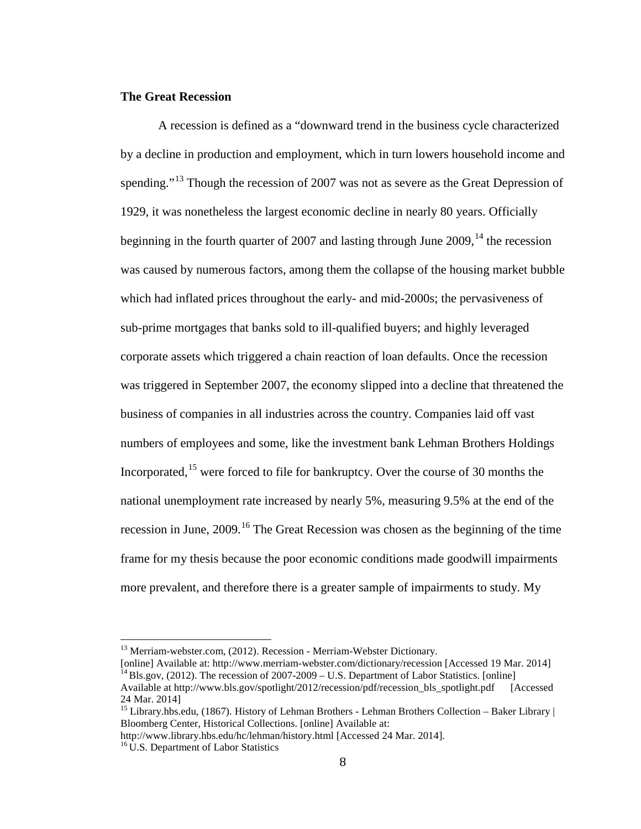#### **The Great Recession**

A recession is defined as a "downward trend in the [business cycle](http://www.merriam-webster.com/concise/business%20cycle) characterized by a decline in production and employment, which in turn lowers household income and spending."<sup>[13](#page-13-0)</sup> Though the recession of 2007 was not as severe as the Great Depression of 1929, it was nonetheless the largest economic decline in nearly 80 years. Officially beginning in the fourth quarter of 2007 and lasting through June  $2009$ , <sup>[14](#page-13-1)</sup> the recession was caused by numerous factors, among them the collapse of the housing market bubble which had inflated prices throughout the early- and mid-2000s; the pervasiveness of sub-prime mortgages that banks sold to ill-qualified buyers; and highly leveraged corporate assets which triggered a chain reaction of loan defaults. Once the recession was triggered in September 2007, the economy slipped into a decline that threatened the business of companies in all industries across the country. Companies laid off vast numbers of employees and some, like the investment bank Lehman Brothers Holdings Incorporated,<sup>[15](#page-13-2)</sup> were forced to file for bankruptcy. Over the course of 30 months the national unemployment rate increased by nearly 5%, measuring 9.5% at the end of the recession in June,  $2009$ .<sup>[16](#page-13-3)</sup> The Great Recession was chosen as the beginning of the time frame for my thesis because the poor economic conditions made goodwill impairments more prevalent, and therefore there is a greater sample of impairments to study. My

<span id="page-13-0"></span><sup>&</sup>lt;sup>13</sup> Merriam-webster.com, (2012). Recession - Merriam-Webster Dictionary.<br>[online] Available at: http://www.merriam-webster.com/dictionary/recession [Accessed 19 Mar. 2014] <sup>14</sup> Bls.gov, (2012). The recession of  $2007-2009 - U.S.$  Department of Labor Statistics. [online]

<span id="page-13-1"></span>Available at [http://www.bls.gov/spotlight/2012/recession/pdf/recession\\_bls\\_spotlight.pdf](http://www.bls.gov/spotlight/2012/recession/pdf/recession_bls_spotlight.pdf) [Accessed] 24 Mar. 2014]<br><sup>15</sup> Library.hbs.edu, (1867). History of Lehman Brothers - Lehman Brothers Collection – Baker Library |

<span id="page-13-2"></span>Bloomberg Center, Historical Collections. [online] Available at:

http://www.library.hbs.edu/hc/lehman/history.html [Accessed 24 Mar. 2014].

<span id="page-13-3"></span><sup>&</sup>lt;sup>16</sup> U.S. Department of Labor Statistics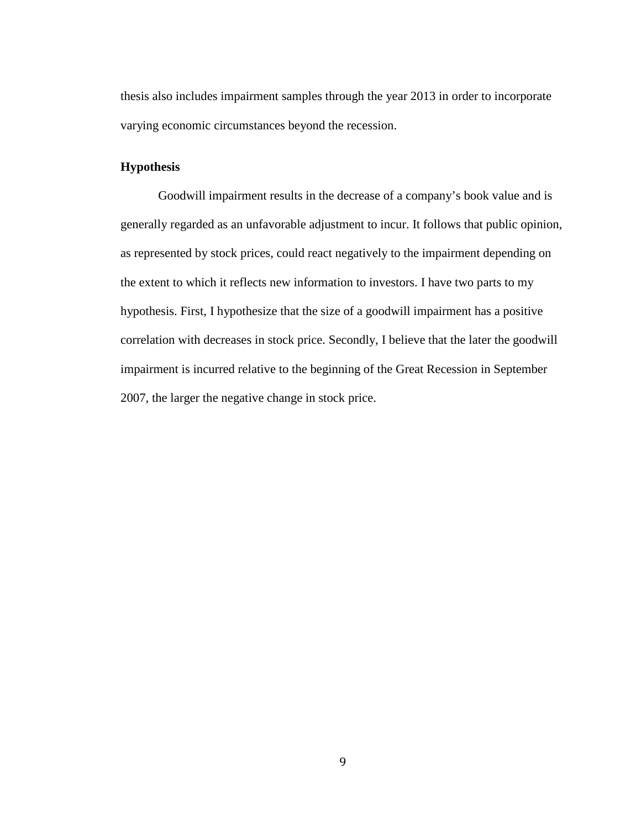thesis also includes impairment samples through the year 2013 in order to incorporate varying economic circumstances beyond the recession.

# **Hypothesis**

Goodwill impairment results in the decrease of a company's book value and is generally regarded as an unfavorable adjustment to incur. It follows that public opinion, as represented by stock prices, could react negatively to the impairment depending on the extent to which it reflects new information to investors. I have two parts to my hypothesis. First, I hypothesize that the size of a goodwill impairment has a positive correlation with decreases in stock price. Secondly, I believe that the later the goodwill impairment is incurred relative to the beginning of the Great Recession in September 2007, the larger the negative change in stock price.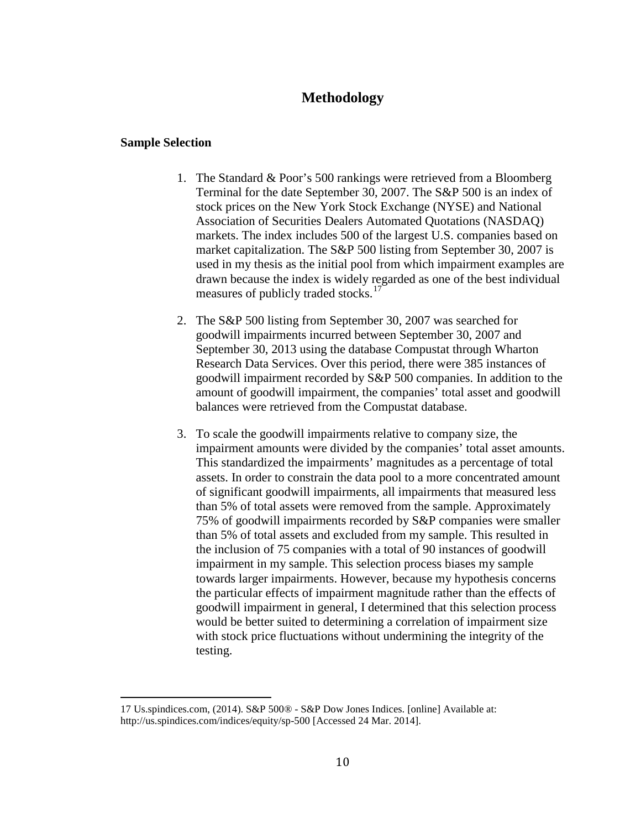# **Methodology**

#### **Sample Selection**

- 1. The Standard & Poor's 500 rankings were retrieved from a Bloomberg Terminal for the date September 30, 2007. The S&P 500 is an index of stock prices on the New York Stock Exchange (NYSE) and National Association of Securities Dealers Automated Quotations (NASDAQ) markets. The index includes 500 of the largest U.S. companies based on market capitalization. The S&P 500 listing from September 30, 2007 is used in my thesis as the initial pool from which impairment examples are drawn because the index is widely regarded as one of the best individual measures of publicly traded stocks.<sup>[17](#page-15-0)</sup>
- 2. The S&P 500 listing from September 30, 2007 was searched for goodwill impairments incurred between September 30, 2007 and September 30, 2013 using the database Compustat through Wharton Research Data Services. Over this period, there were 385 instances of goodwill impairment recorded by S&P 500 companies. In addition to the amount of goodwill impairment, the companies' total asset and goodwill balances were retrieved from the Compustat database.
- 3. To scale the goodwill impairments relative to company size, the impairment amounts were divided by the companies' total asset amounts. This standardized the impairments' magnitudes as a percentage of total assets. In order to constrain the data pool to a more concentrated amount of significant goodwill impairments, all impairments that measured less than 5% of total assets were removed from the sample. Approximately 75% of goodwill impairments recorded by S&P companies were smaller than 5% of total assets and excluded from my sample. This resulted in the inclusion of 75 companies with a total of 90 instances of goodwill impairment in my sample. This selection process biases my sample towards larger impairments. However, because my hypothesis concerns the particular effects of impairment magnitude rather than the effects of goodwill impairment in general, I determined that this selection process would be better suited to determining a correlation of impairment size with stock price fluctuations without undermining the integrity of the testing.

<sup>17</sup> Us.spindices.com, (2014). S&P 500® - S&P Dow Jones Indices. [online] Available at:

<span id="page-15-0"></span>http://us.spindices.com/indices/equity/sp-500 [Accessed 24 Mar. 2014].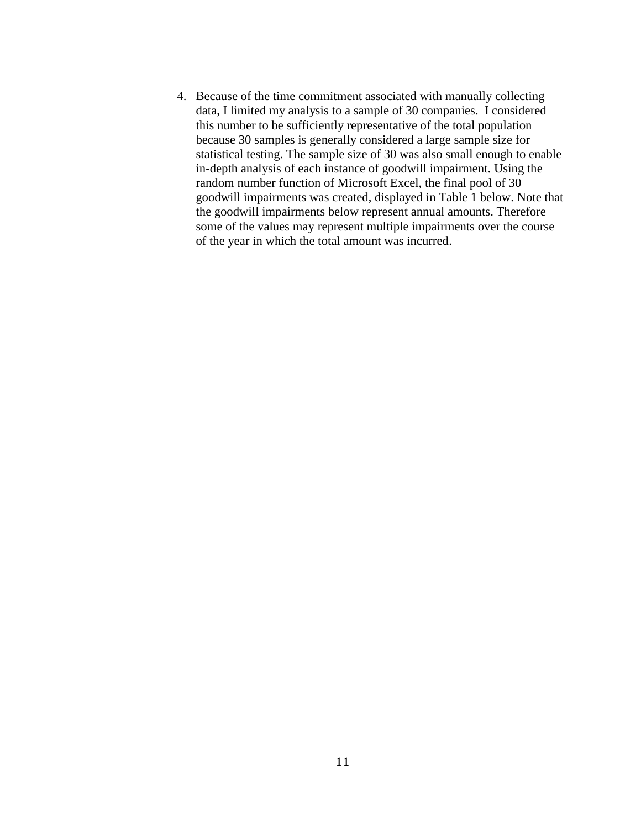4. Because of the time commitment associated with manually collecting data, I limited my analysis to a sample of 30 companies. I considered this number to be sufficiently representative of the total population because 30 samples is generally considered a large sample size for statistical testing. The sample size of 30 was also small enough to enable in-depth analysis of each instance of goodwill impairment. Using the random number function of Microsoft Excel, the final pool of 30 goodwill impairments was created, displayed in Table 1 below. Note that the goodwill impairments below represent annual amounts. Therefore some of the values may represent multiple impairments over the course of the year in which the total amount was incurred.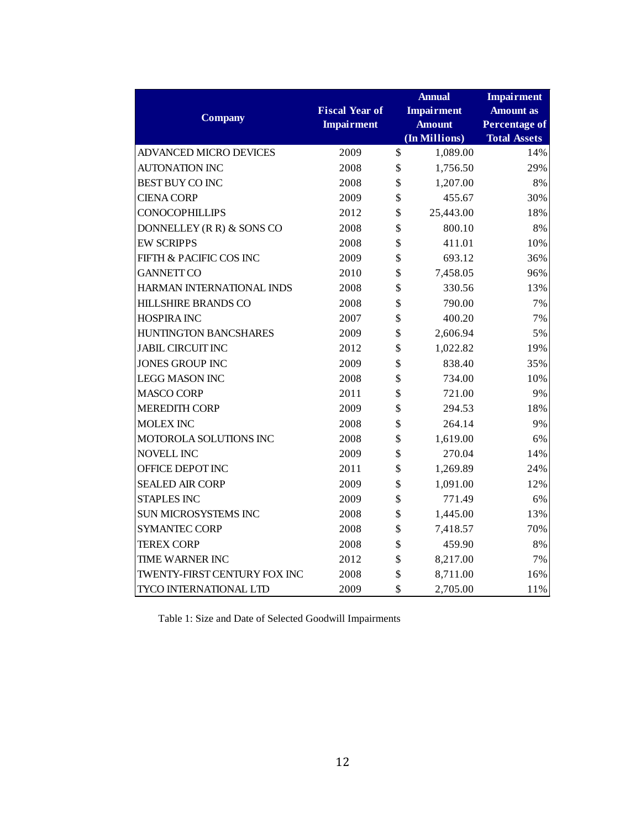| <b>Company</b>                | <b>Fiscal Year of</b><br><b>Impairment</b> | <b>Annual</b><br><b>Impairment</b><br><b>Amount</b><br>(In Millions) | <b>Impairment</b><br><b>Amount</b> as<br><b>Percentage of</b><br><b>Total Assets</b> |
|-------------------------------|--------------------------------------------|----------------------------------------------------------------------|--------------------------------------------------------------------------------------|
| <b>ADVANCED MICRO DEVICES</b> | 2009                                       | \$<br>1,089.00                                                       | 14%                                                                                  |
| <b>AUTONATION INC</b>         | 2008                                       | \$<br>1,756.50                                                       | 29%                                                                                  |
| <b>BEST BUY CO INC</b>        | 2008                                       | \$<br>1,207.00                                                       | 8%                                                                                   |
| <b>CIENA CORP</b>             | 2009                                       | \$<br>455.67                                                         | 30%                                                                                  |
| <b>CONOCOPHILLIPS</b>         | 2012                                       | \$<br>25,443.00                                                      | 18%                                                                                  |
| DONNELLEY (R R) & SONS CO     | 2008                                       | \$<br>800.10                                                         | 8%                                                                                   |
| <b>EW SCRIPPS</b>             | 2008                                       | \$<br>411.01                                                         | 10%                                                                                  |
| FIFTH & PACIFIC COS INC       | 2009                                       | \$<br>693.12                                                         | 36%                                                                                  |
| <b>GANNETT CO</b>             | 2010                                       | \$<br>7,458.05                                                       | 96%                                                                                  |
| HARMAN INTERNATIONAL INDS     | 2008                                       | \$<br>330.56                                                         | 13%                                                                                  |
| <b>HILLSHIRE BRANDS CO</b>    | 2008                                       | \$<br>790.00                                                         | 7%                                                                                   |
| <b>HOSPIRA INC</b>            | 2007                                       | \$<br>400.20                                                         | 7%                                                                                   |
| HUNTINGTON BANCSHARES         | 2009                                       | \$<br>2,606.94                                                       | 5%                                                                                   |
| <b>JABIL CIRCUIT INC</b>      | 2012                                       | \$<br>1,022.82                                                       | 19%                                                                                  |
| <b>JONES GROUP INC</b>        | 2009                                       | \$<br>838.40                                                         | 35%                                                                                  |
| <b>LEGG MASON INC</b>         | 2008                                       | \$<br>734.00                                                         | 10%                                                                                  |
| <b>MASCO CORP</b>             | 2011                                       | \$<br>721.00                                                         | 9%                                                                                   |
| <b>MEREDITH CORP</b>          | 2009                                       | \$<br>294.53                                                         | 18%                                                                                  |
| <b>MOLEX INC</b>              | 2008                                       | \$<br>264.14                                                         | 9%                                                                                   |
| MOTOROLA SOLUTIONS INC        | 2008                                       | \$<br>1,619.00                                                       | 6%                                                                                   |
| <b>NOVELL INC</b>             | 2009                                       | \$<br>270.04                                                         | 14%                                                                                  |
| OFFICE DEPOT INC              | 2011                                       | \$<br>1,269.89                                                       | 24%                                                                                  |
| <b>SEALED AIR CORP</b>        | 2009                                       | \$<br>1,091.00                                                       | 12%                                                                                  |
| <b>STAPLES INC</b>            | 2009                                       | \$<br>771.49                                                         | 6%                                                                                   |
| SUN MICROSYSTEMS INC          | 2008                                       | \$<br>1,445.00                                                       | 13%                                                                                  |
| <b>SYMANTEC CORP</b>          | 2008                                       | \$<br>7,418.57                                                       | 70%                                                                                  |
| <b>TEREX CORP</b>             | 2008                                       | \$<br>459.90                                                         | 8%                                                                                   |
| <b>TIME WARNER INC</b>        | 2012                                       | \$<br>8,217.00                                                       | 7%                                                                                   |
| TWENTY-FIRST CENTURY FOX INC  | 2008                                       | \$<br>8,711.00                                                       | 16%                                                                                  |
| <b>TYCO INTERNATIONAL LTD</b> | 2009                                       | \$<br>2,705.00                                                       | 11%                                                                                  |

<span id="page-17-0"></span>Table 1: Size and Date of Selected Goodwill Impairments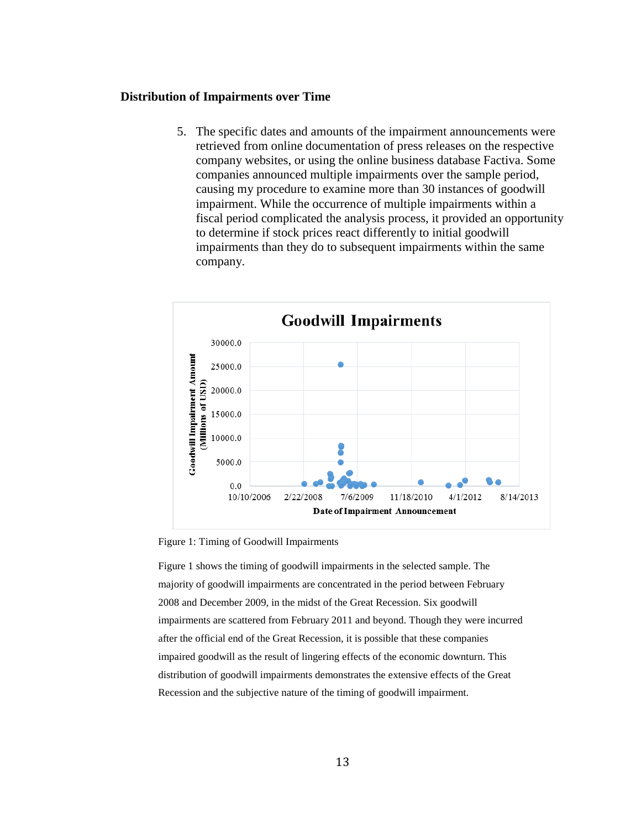#### **Distribution of Impairments over Time**

5. The specific dates and amounts of the impairment announcements were retrieved from online documentation of press releases on the respective company websites, or using the online business database Factiva. Some companies announced multiple impairments over the sample period, causing my procedure to examine more than 30 instances of goodwill impairment. While the occurrence of multiple impairments within a fiscal period complicated the analysis process, it provided an opportunity to determine if stock prices react differently to initial goodwill impairments than they do to subsequent impairments within the same company.



<span id="page-18-0"></span>Figure 1: Timing of Goodwill Impairments

Figure 1 shows the timing of goodwill impairments in the selected sample. The majority of goodwill impairments are concentrated in the period between February 2008 and December 2009, in the midst of the Great Recession. Six goodwill impairments are scattered from February 2011 and beyond. Though they were incurred after the official end of the Great Recession, it is possible that these companies impaired goodwill as the result of lingering effects of the economic downturn. This distribution of goodwill impairments demonstrates the extensive effects of the Great Recession and the subjective nature of the timing of goodwill impairment.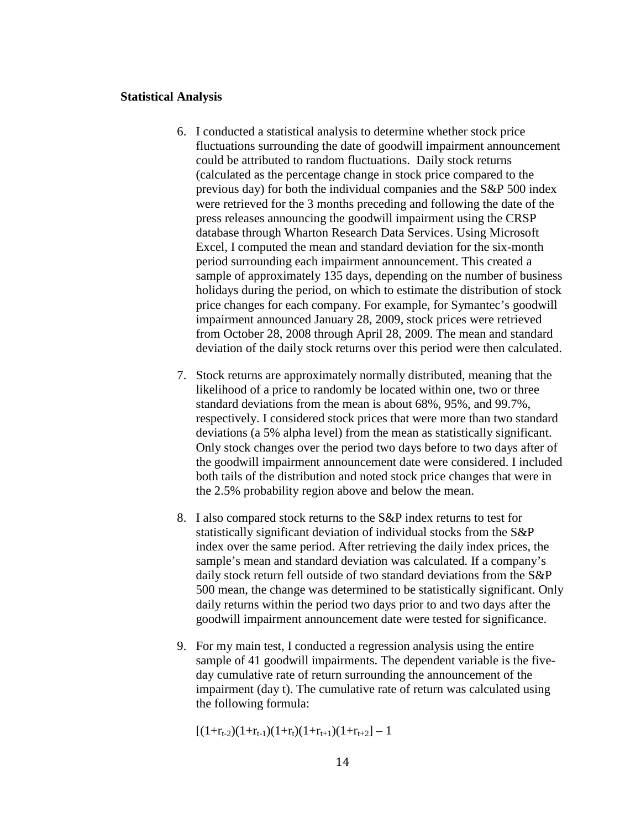#### **Statistical Analysis**

- 6. I conducted a statistical analysis to determine whether stock price fluctuations surrounding the date of goodwill impairment announcement could be attributed to random fluctuations. Daily stock returns (calculated as the percentage change in stock price compared to the previous day) for both the individual companies and the S&P 500 index were retrieved for the 3 months preceding and following the date of the press releases announcing the goodwill impairment using the CRSP database through Wharton Research Data Services. Using Microsoft Excel, I computed the mean and standard deviation for the six-month period surrounding each impairment announcement. This created a sample of approximately 135 days, depending on the number of business holidays during the period, on which to estimate the distribution of stock price changes for each company. For example, for Symantec's goodwill impairment announced January 28, 2009, stock prices were retrieved from October 28, 2008 through April 28, 2009. The mean and standard deviation of the daily stock returns over this period were then calculated.
- 7. Stock returns are approximately normally distributed, meaning that the likelihood of a price to randomly be located within one, two or three standard deviations from the mean is about 68%, 95%, and 99.7%, respectively. I considered stock prices that were more than two standard deviations (a 5% alpha level) from the mean as statistically significant. Only stock changes over the period two days before to two days after of the goodwill impairment announcement date were considered. I included both tails of the distribution and noted stock price changes that were in the 2.5% probability region above and below the mean.
- 8. I also compared stock returns to the S&P index returns to test for statistically significant deviation of individual stocks from the S&P index over the same period. After retrieving the daily index prices, the sample's mean and standard deviation was calculated. If a company's daily stock return fell outside of two standard deviations from the S&P 500 mean, the change was determined to be statistically significant. Only daily returns within the period two days prior to and two days after the goodwill impairment announcement date were tested for significance.
- 9. For my main test, I conducted a regression analysis using the entire sample of 41 goodwill impairments. The dependent variable is the fiveday cumulative rate of return surrounding the announcement of the impairment (day t). The cumulative rate of return was calculated using the following formula:

$$
\left[(1{+}r_{t\text{-}2})(1{+}r_{t\text{-}1})(1{+}r_t)(1{+}r_{t\text{+}1})(1{+}r_{t\text{+}2})-1\right.
$$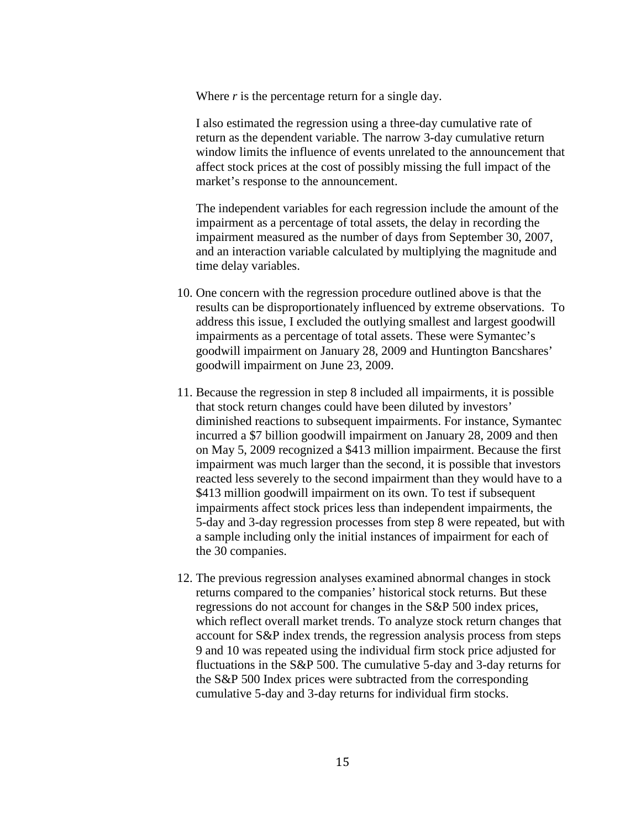Where *r* is the percentage return for a single day.

I also estimated the regression using a three-day cumulative rate of return as the dependent variable. The narrow 3-day cumulative return window limits the influence of events unrelated to the announcement that affect stock prices at the cost of possibly missing the full impact of the market's response to the announcement.

The independent variables for each regression include the amount of the impairment as a percentage of total assets, the delay in recording the impairment measured as the number of days from September 30, 2007, and an interaction variable calculated by multiplying the magnitude and time delay variables.

- 10. One concern with the regression procedure outlined above is that the results can be disproportionately influenced by extreme observations. To address this issue, I excluded the outlying smallest and largest goodwill impairments as a percentage of total assets. These were Symantec's goodwill impairment on January 28, 2009 and Huntington Bancshares' goodwill impairment on June 23, 2009.
- 11. Because the regression in step 8 included all impairments, it is possible that stock return changes could have been diluted by investors' diminished reactions to subsequent impairments. For instance, Symantec incurred a \$7 billion goodwill impairment on January 28, 2009 and then on May 5, 2009 recognized a \$413 million impairment. Because the first impairment was much larger than the second, it is possible that investors reacted less severely to the second impairment than they would have to a \$413 million goodwill impairment on its own. To test if subsequent impairments affect stock prices less than independent impairments, the 5-day and 3-day regression processes from step 8 were repeated, but with a sample including only the initial instances of impairment for each of the 30 companies.
- 12. The previous regression analyses examined abnormal changes in stock returns compared to the companies' historical stock returns. But these regressions do not account for changes in the S&P 500 index prices, which reflect overall market trends. To analyze stock return changes that account for S&P index trends, the regression analysis process from steps 9 and 10 was repeated using the individual firm stock price adjusted for fluctuations in the S&P 500. The cumulative 5-day and 3-day returns for the S&P 500 Index prices were subtracted from the corresponding cumulative 5-day and 3-day returns for individual firm stocks.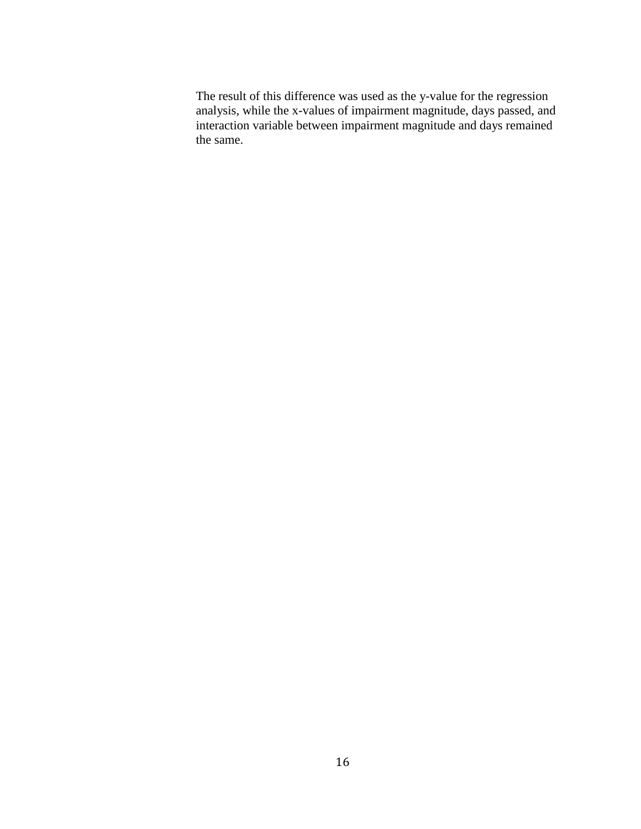The result of this difference was used as the y-value for the regression analysis, while the x-values of impairment magnitude, days passed, and interaction variable between impairment magnitude and days remained the same.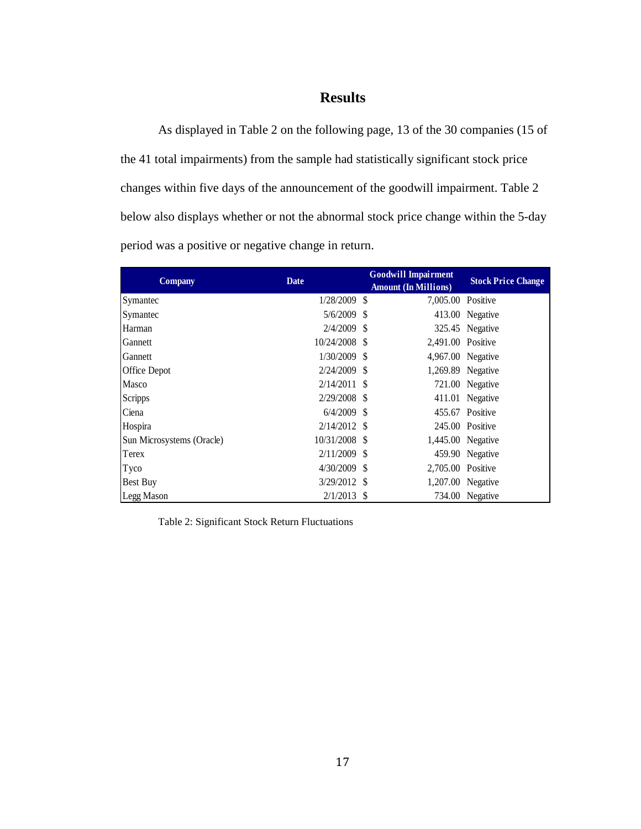# **Results**

As displayed in Table 2 on the following page, 13 of the 30 companies (15 of the 41 total impairments) from the sample had statistically significant stock price changes within five days of the announcement of the goodwill impairment. Table 2 below also displays whether or not the abnormal stock price change within the 5-day period was a positive or negative change in return.

| <b>Company</b>            | <b>Date</b>    | <b>Goodwill Impairment</b><br><b>Amount (In Millions)</b> | <b>Stock Price Change</b> |
|---------------------------|----------------|-----------------------------------------------------------|---------------------------|
| Symantec                  | 1/28/2009 \$   | 7,005.00 Positive                                         |                           |
| Symantec                  | 5/6/2009 \$    |                                                           | 413.00 Negative           |
| Harman                    | $2/4/2009$ \$  |                                                           | 325.45 Negative           |
| Gannett                   | 10/24/2008 \$  | 2,491.00 Positive                                         |                           |
| Gannett                   | $1/30/2009$ \$ |                                                           | 4,967.00 Negative         |
| Office Depot              | $2/24/2009$ \$ |                                                           | 1,269.89 Negative         |
| <b>Masco</b>              | $2/14/2011$ \$ |                                                           | 721.00 Negative           |
| <b>Scripps</b>            | $2/29/2008$ \$ |                                                           | 411.01 Negative           |
| Ciena                     | $6/4/2009$ \$  |                                                           | 455.67 Positive           |
| Hospira                   | $2/14/2012$ \$ |                                                           | 245.00 Positive           |
| Sun Microsystems (Oracle) | 10/31/2008 \$  |                                                           | 1,445.00 Negative         |
| Terex                     | $2/11/2009$ \$ |                                                           | 459.90 Negative           |
| Tyco                      | $4/30/2009$ \$ | 2,705.00 Positive                                         |                           |
| <b>Best Buy</b>           | $3/29/2012$ \$ |                                                           | 1,207.00 Negative         |
| Legg Mason                | $2/1/2013$ \$  |                                                           | 734.00 Negative           |

<span id="page-22-0"></span>Table 2: Significant Stock Return Fluctuations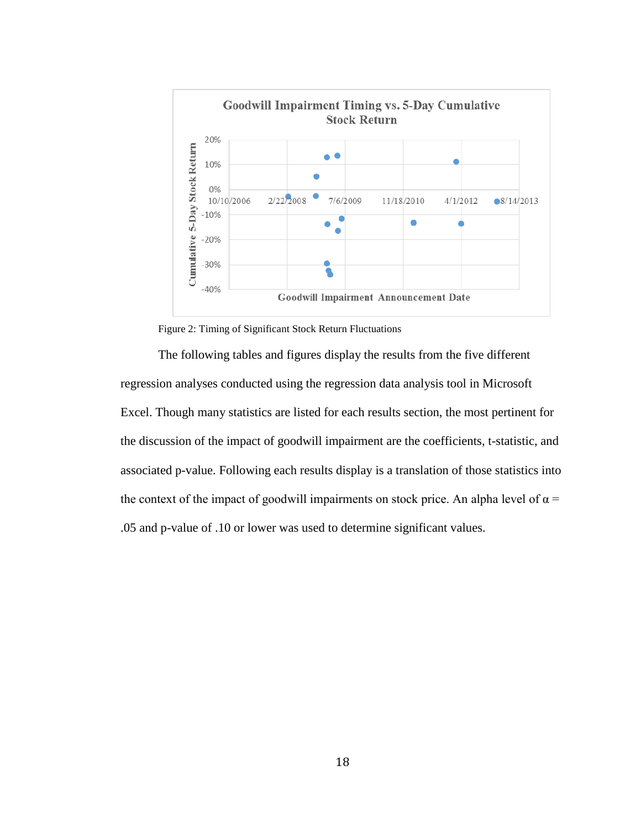

Figure 2: Timing of Significant Stock Return Fluctuations

<span id="page-23-0"></span>The following tables and figures display the results from the five different regression analyses conducted using the regression data analysis tool in Microsoft Excel. Though many statistics are listed for each results section, the most pertinent for the discussion of the impact of goodwill impairment are the coefficients, t-statistic, and associated p-value. Following each results display is a translation of those statistics into the context of the impact of goodwill impairments on stock price. An alpha level of  $\alpha$  = .05 and p-value of .10 or lower was used to determine significant values.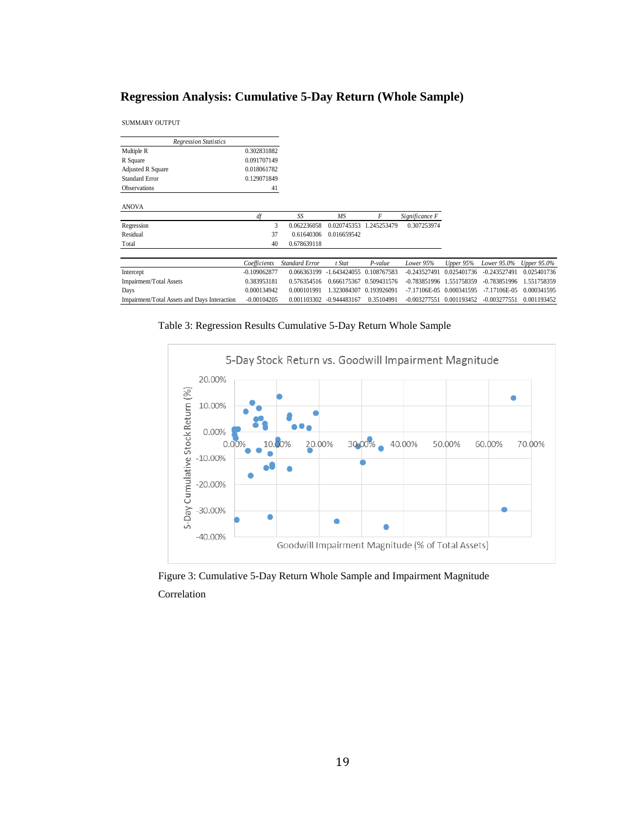# **Regression Analysis: Cumulative 5-Day Return (Whole Sample)**

SUMMARY OUTPUT

| <b>Regression Statistics</b>                 |                |                       |                |                         |                |             |                  |             |
|----------------------------------------------|----------------|-----------------------|----------------|-------------------------|----------------|-------------|------------------|-------------|
| Multiple R                                   | 0.302831882    |                       |                |                         |                |             |                  |             |
| R Square                                     | 0.091707149    |                       |                |                         |                |             |                  |             |
| Adjusted R Square                            | 0.018061782    |                       |                |                         |                |             |                  |             |
| <b>Standard Error</b>                        | 0.129071849    |                       |                |                         |                |             |                  |             |
| <b>Observations</b>                          | 41             |                       |                |                         |                |             |                  |             |
| <b>ANOVA</b>                                 |                |                       |                |                         |                |             |                  |             |
|                                              | df             | SS                    | <b>MS</b>      | F                       | Significance F |             |                  |             |
| Regression                                   | 3              | 0.062236058           | 0.020745353    | .245253479              | 0.307253974    |             |                  |             |
| Residual                                     | 37             | 0.61640306            | 0.016659542    |                         |                |             |                  |             |
| Total                                        | 40             | 0.678639118           |                |                         |                |             |                  |             |
|                                              | Coefficients   | <b>Standard Error</b> | t Stat         | $P$ -value              | Lower 95%      | Upper 95%   | Lower 95.0%      | Upper 95.0% |
| Intercept                                    | $-0.109062877$ | 0.066363199           |                | 1.643424055 0.108767583 | $-0.243527491$ | 0.025401736 | $-0.243527491$   | 0.025401736 |
| Impairment/Total Assets                      | 0.383953181    | 0.576354516           | 0.666175367    | 0.509431576             | -0.783851996   | .551758359  | $-0.783851996$   | 1.551758359 |
| Days                                         | 0.000134942    | 0.000101991           | 1.323084307    | 0.193926091             | $-7.17106E-05$ | 0.000341595 | $-7.17106E - 05$ | 0.000341595 |
| Impairment/Total Assets and Days Interaction | $-0.00104205$  | 0.001103302           | $-0.944483167$ | 0.35104991              | $-0.003277551$ | 0.001193452 | $-0.003277551$   | 0.001193452 |

<span id="page-24-1"></span>Table 3: Regression Results Cumulative 5-Day Return Whole Sample



<span id="page-24-0"></span>Figure 3: Cumulative 5-Day Return Whole Sample and Impairment Magnitude Correlation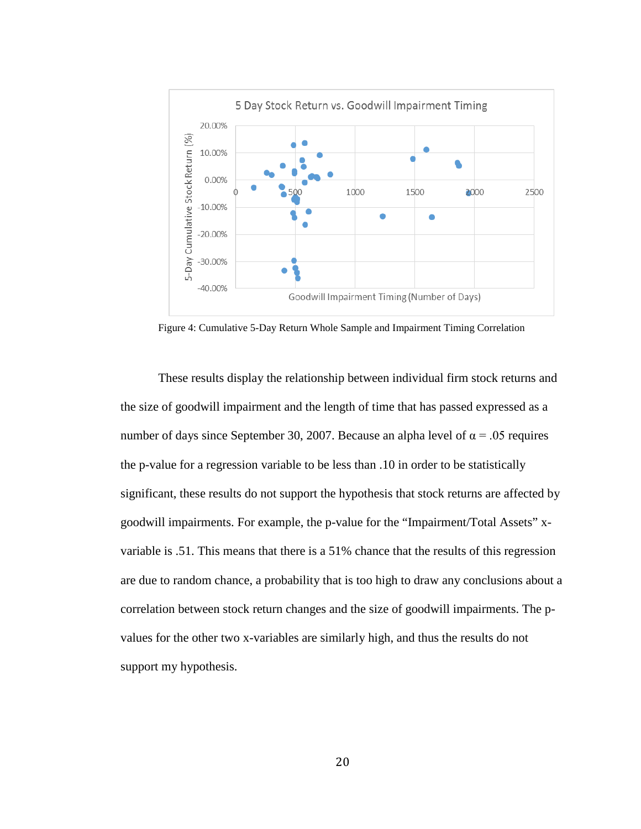

<span id="page-25-0"></span>Figure 4: Cumulative 5-Day Return Whole Sample and Impairment Timing Correlation

These results display the relationship between individual firm stock returns and the size of goodwill impairment and the length of time that has passed expressed as a number of days since September 30, 2007. Because an alpha level of  $\alpha$  = .05 requires the p-value for a regression variable to be less than .10 in order to be statistically significant, these results do not support the hypothesis that stock returns are affected by goodwill impairments. For example, the p-value for the "Impairment/Total Assets" xvariable is .51. This means that there is a 51% chance that the results of this regression are due to random chance, a probability that is too high to draw any conclusions about a correlation between stock return changes and the size of goodwill impairments. The pvalues for the other two x-variables are similarly high, and thus the results do not support my hypothesis.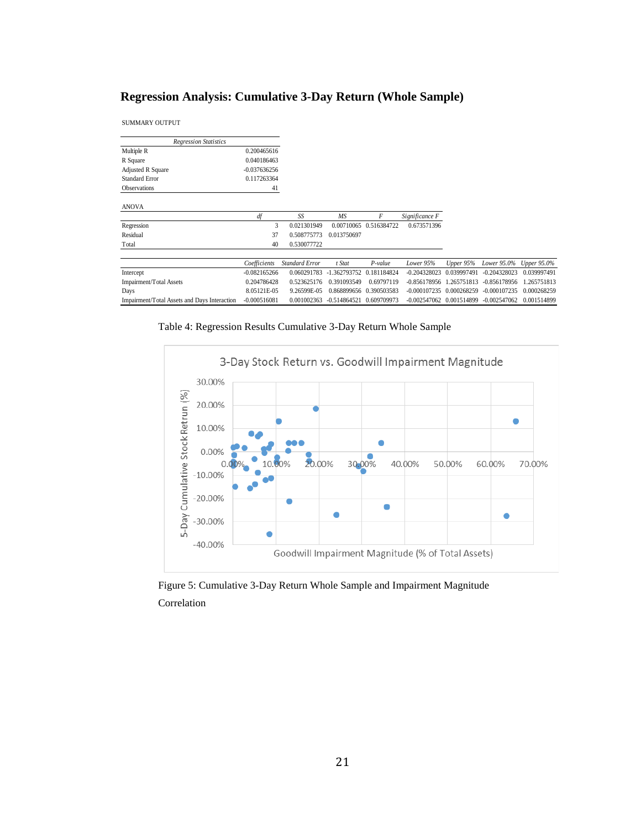# **Regression Analysis: Cumulative 3-Day Return (Whole Sample)**

SUMMARY OUTPUT

| <b>Regression Statistics</b>                 |                |                       |                              |                         |                          |             |                |             |
|----------------------------------------------|----------------|-----------------------|------------------------------|-------------------------|--------------------------|-------------|----------------|-------------|
| Multiple R                                   | 0.200465616    |                       |                              |                         |                          |             |                |             |
| R Square                                     | 0.040186463    |                       |                              |                         |                          |             |                |             |
| <b>Adjusted R Square</b>                     | $-0.037636256$ |                       |                              |                         |                          |             |                |             |
| <b>Standard Error</b>                        | 0.117263364    |                       |                              |                         |                          |             |                |             |
| <b>Observations</b>                          | 41             |                       |                              |                         |                          |             |                |             |
| <b>ANOVA</b>                                 |                |                       |                              |                         |                          |             |                |             |
|                                              | df             | SS                    | MS                           | F                       | Significance F           |             |                |             |
| Regression                                   | 3              | 0.021301949           |                              | 0.00710065 0.516384722  | 0.673571396              |             |                |             |
| Residual                                     | 37             | 0.508775773           | 0.013750697                  |                         |                          |             |                |             |
| Total                                        | 40             | 0.530077722           |                              |                         |                          |             |                |             |
|                                              | Coefficients   | <b>Standard Error</b> | t Stat                       | P-value                 | Lower 95%                | Upper $95%$ | Lower 95.0%    | Upper 95.0% |
| Intercept                                    | $-0.082165266$ | 0.060291783           | -1.362793752                 | 0.181184824             | $-0.204328023$           | 0.039997491 | $-0.204328023$ | 0.039997491 |
| Impairment/Total Assets                      | 0.204786428    | 0.523625176           | 0.391093549                  | 0.69797119              | $-0.856178956$           | 1.265751813 | $-0.856178956$ | 1.265751813 |
| Days                                         | 8.05121E-05    | 9.26599E-05           |                              | 0.868899656 0.390503583 | $-0.000107235$           | 0.000268259 | $-0.000107235$ | 0.000268259 |
| Impairment/Total Assets and Days Interaction | $-0.000516081$ | 0.001002363           | $-0.514864521$ $0.609709973$ |                         | -0.002547062 0.001514899 |             | $-0.002547062$ | 0.001514899 |

<span id="page-26-1"></span>Table 4: Regression Results Cumulative 3-Day Return Whole Sample



<span id="page-26-0"></span>Figure 5: Cumulative 3-Day Return Whole Sample and Impairment Magnitude Correlation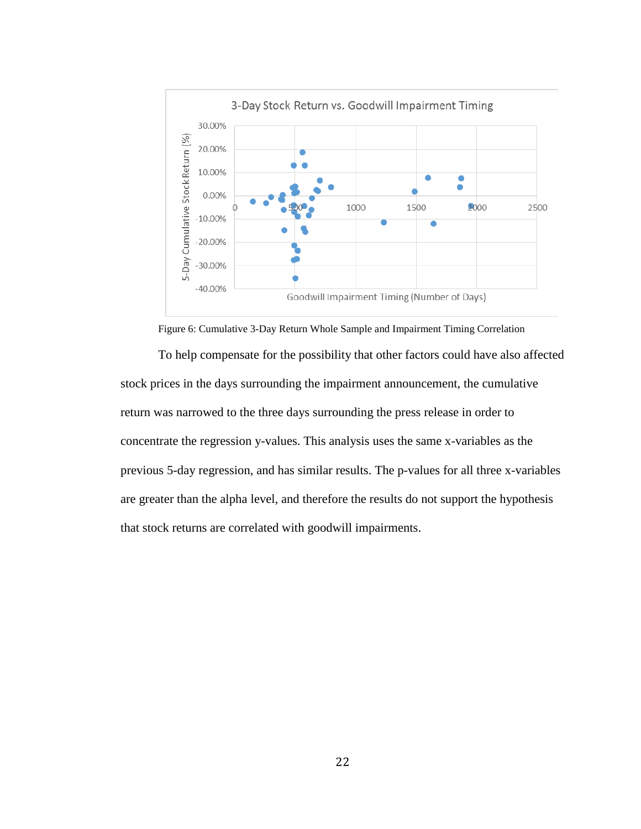

Figure 6: Cumulative 3-Day Return Whole Sample and Impairment Timing Correlation

<span id="page-27-0"></span>To help compensate for the possibility that other factors could have also affected stock prices in the days surrounding the impairment announcement, the cumulative return was narrowed to the three days surrounding the press release in order to concentrate the regression y-values. This analysis uses the same x-variables as the previous 5-day regression, and has similar results. The p-values for all three x-variables are greater than the alpha level, and therefore the results do not support the hypothesis that stock returns are correlated with goodwill impairments.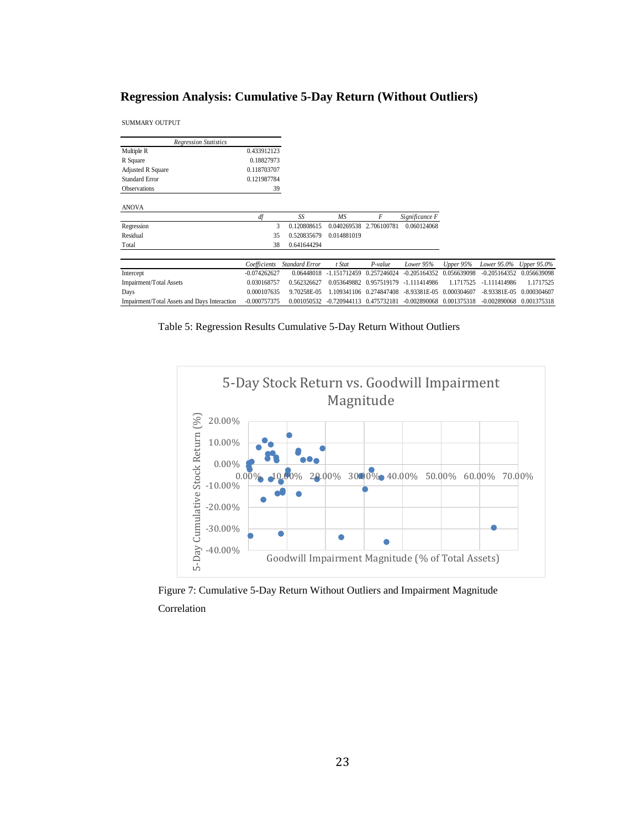# **Regression Analysis: Cumulative 5-Day Return (Without Outliers)**

SUMMARY OUTPUT

| <b>Regression Statistics</b>                 |                |                       |                              |             |                |             |                |             |
|----------------------------------------------|----------------|-----------------------|------------------------------|-------------|----------------|-------------|----------------|-------------|
| Multiple R                                   | 0.433912123    |                       |                              |             |                |             |                |             |
| R Square                                     | 0.18827973     |                       |                              |             |                |             |                |             |
| Adjusted R Square                            | 0.118703707    |                       |                              |             |                |             |                |             |
| <b>Standard Error</b>                        | 0.121987784    |                       |                              |             |                |             |                |             |
| <b>Observations</b>                          | 39             |                       |                              |             |                |             |                |             |
| <b>ANOVA</b>                                 |                |                       |                              |             |                |             |                |             |
|                                              | df             | SS                    | <b>MS</b>                    | F           | Significance F |             |                |             |
| Regression                                   | 3              | 0.120808615           | 0.040269538                  | 2.706100781 | 0.060124068    |             |                |             |
| Residual                                     | 35             | 0.520835679           | 0.014881019                  |             |                |             |                |             |
| Total                                        | 38             | 0.641644294           |                              |             |                |             |                |             |
|                                              |                |                       |                              |             |                |             |                |             |
|                                              | Coefficients   | <b>Standard Error</b> | t Stat                       | $P$ -value  | Lower 95%      | Upper 95%   | Lower 95.0%    | Upper 95.0% |
| Intercept                                    | $-0.074262627$ | 0.06448018            | $-1.151712459$               | 0.257246024 | $-0.205164352$ | 0.056639098 | $-0.205164352$ | 0.056639098 |
| Impairment/Total Assets                      | 0.030168757    | 0.562326627           | 0.053649882                  | 0.957519179 | $-1.111414986$ | 1.1717525   | $-1.111414986$ | 1.1717525   |
| Days                                         | 0.000107635    | 9.70258E-05           | 1.109341106                  | 0.274847408 | $-8.93381E-05$ | 0.000304607 | $-8.93381E-05$ | 0.000304607 |
| Impairment/Total Assets and Days Interaction | $-0.000757375$ | 0.001050532           | $-0.720944113$ $0.475732181$ |             | $-0.002890068$ | 0.001375318 | $-0.002890068$ | 0.001375318 |

<span id="page-28-1"></span>Table 5: Regression Results Cumulative 5-Day Return Without Outliers



<span id="page-28-0"></span>Figure 7: Cumulative 5-Day Return Without Outliers and Impairment Magnitude Correlation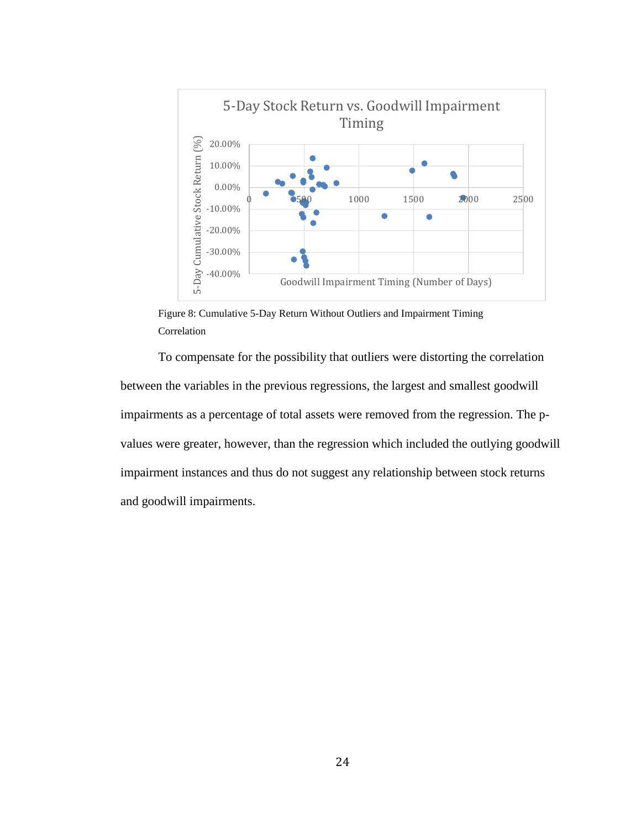

<span id="page-29-0"></span>Figure 8: Cumulative 5-Day Return Without Outliers and Impairment Timing Correlation

To compensate for the possibility that outliers were distorting the correlation between the variables in the previous regressions, the largest and smallest goodwill impairments as a percentage of total assets were removed from the regression. The pvalues were greater, however, than the regression which included the outlying goodwill impairment instances and thus do not suggest any relationship between stock returns and goodwill impairments.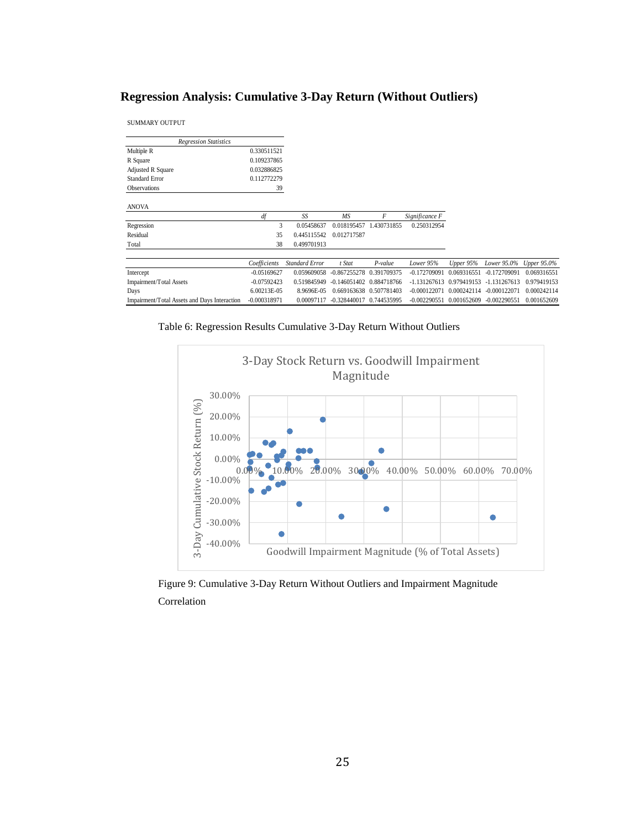# **Regression Analysis: Cumulative 3-Day Return (Without Outliers)**

SUMMARY OUTPUT

| <b>Regression Statistics</b>                 |                |                       |                |                         |                |             |                |                    |
|----------------------------------------------|----------------|-----------------------|----------------|-------------------------|----------------|-------------|----------------|--------------------|
| Multiple R                                   | 0.330511521    |                       |                |                         |                |             |                |                    |
| R Square                                     | 0.109237865    |                       |                |                         |                |             |                |                    |
| Adjusted R Square                            | 0.032886825    |                       |                |                         |                |             |                |                    |
| <b>Standard Error</b>                        | 0.112772279    |                       |                |                         |                |             |                |                    |
| <b>Observations</b>                          | 39             |                       |                |                         |                |             |                |                    |
|                                              |                |                       |                |                         |                |             |                |                    |
| <b>ANOVA</b>                                 |                |                       |                |                         |                |             |                |                    |
|                                              | df             | SS                    | <b>MS</b>      | F                       | Significance F |             |                |                    |
| Regression                                   | 3              | 0.05458637            | 0.018195457    | 1.430731855             | 0.250312954    |             |                |                    |
| Residual                                     | 35             | 0.445115542           | 0.012717587    |                         |                |             |                |                    |
| Total                                        | 38             | 0.499701913           |                |                         |                |             |                |                    |
|                                              |                |                       |                |                         |                |             |                |                    |
|                                              | Coefficients   | <b>Standard Error</b> | t Stat         | $P$ -value              | Lower 95%      | Upper $95%$ | Lower 95.0%    | <b>Upper 95.0%</b> |
| Intercept                                    | $-0.05169627$  | 0.059609058           | $-0.867255278$ | 0.391709375             | $-0.172709091$ | 0.069316551 | $-0.172709091$ | 0.069316551        |
| Impairment/Total Assets                      | $-0.07592423$  | 0.519845949           | $-0.146051402$ | 0.884718766             | $-1.131267613$ | 0.979419153 | $-1.131267613$ | 0.979419153        |
| Days                                         | 6.00213E-05    | 8.9696E-05            |                | 0.669163638 0.507781403 | $-0.000122071$ | 0.000242114 | $-0.000122071$ | 0.000242114        |
| Impairment/Total Assets and Days Interaction | $-0.000318971$ | 0.00097117            | $-0.328440017$ | 0.744535995             | $-0.002290551$ | 0.001652609 | $-0.002290551$ | 0.001652609        |

<span id="page-30-1"></span>



<span id="page-30-0"></span>Figure 9: Cumulative 3-Day Return Without Outliers and Impairment Magnitude Correlation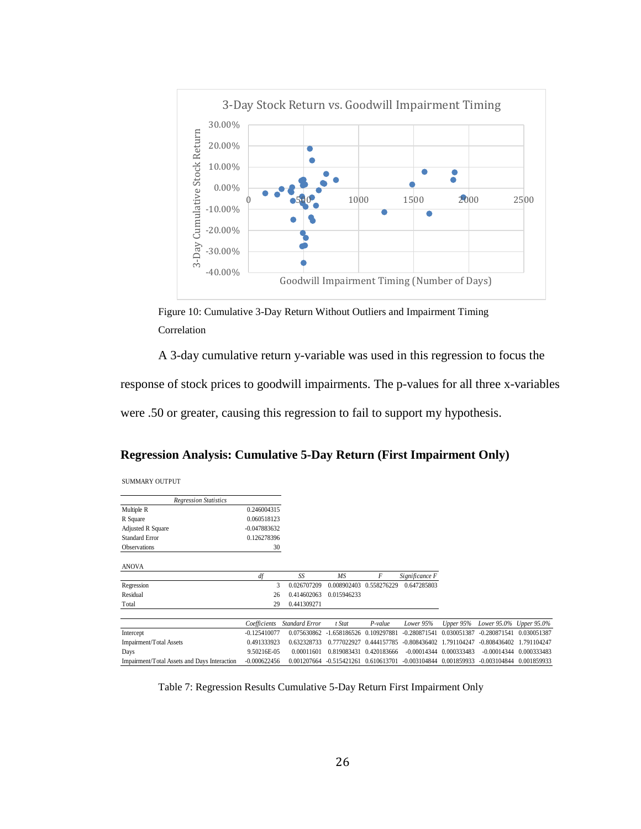

<span id="page-31-0"></span>Figure 10: Cumulative 3-Day Return Without Outliers and Impairment Timing Correlation

A 3-day cumulative return y-variable was used in this regression to focus the

response of stock prices to goodwill impairments. The p-values for all three x-variables

were .50 or greater, causing this regression to fail to support my hypothesis.

## **Regression Analysis: Cumulative 5-Day Return (First Impairment Only)**

| SUMMARY OUTPUT |  |
|----------------|--|
|                |  |

| <b>Regression Statistics</b>                 |                |                       |                |             |                |             |                |             |
|----------------------------------------------|----------------|-----------------------|----------------|-------------|----------------|-------------|----------------|-------------|
| Multiple R                                   | 0.246004315    |                       |                |             |                |             |                |             |
| R Square                                     | 0.060518123    |                       |                |             |                |             |                |             |
| Adjusted R Square                            | $-0.047883632$ |                       |                |             |                |             |                |             |
| <b>Standard Error</b>                        | 0.126278396    |                       |                |             |                |             |                |             |
| <b>Observations</b>                          | 30             |                       |                |             |                |             |                |             |
| <b>ANOVA</b>                                 |                |                       |                |             |                |             |                |             |
|                                              | df             | SS                    | MS             | F           | Significance F |             |                |             |
| Regression                                   | 3              | 0.026707209           | 0.008902403    | 0.558276229 | 0.647285803    |             |                |             |
| Residual                                     | 26             | 0.414602063           | 0.015946233    |             |                |             |                |             |
| Total                                        | 29             | 0.441309271           |                |             |                |             |                |             |
|                                              | Coefficients   | <b>Standard Error</b> | t Stat         | P-value     | Lower 95%      | Upper 95%   | Lower 95.0%    | Upper 95.0% |
| Intercept                                    | $-0.125410077$ | 0.075630862           | $-1.658186526$ | 0.109297881 | $-0.280871541$ | 0.030051387 | $-0.280871541$ | 0.030051387 |
| Impairment/Total Assets                      | 0.491333923    | 0.632328733           | 0.777022927    | 0.444157785 | $-0.808436402$ | 1.791104247 | $-0.808436402$ | 1.791104247 |
| Days                                         | 9.50216E-05    | 0.00011601            | 0.819083431    | 0.420183666 | $-0.00014344$  | 0.000333483 | $-0.00014344$  | 0.000333483 |
| Impairment/Total Assets and Days Interaction | $-0.000622456$ | 0.001207664           | $-0.515421261$ | 0.610613701 | $-0.003104844$ | 0.001859933 | $-0.003104844$ | 0.001859933 |

<span id="page-31-1"></span>Table 7: Regression Results Cumulative 5-Day Return First Impairment Only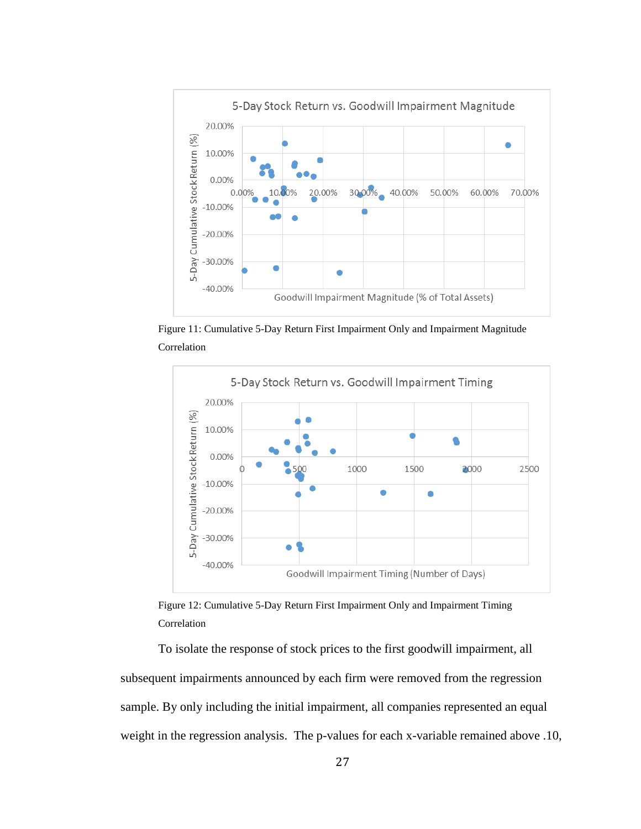

<span id="page-32-0"></span>Figure 11: Cumulative 5-Day Return First Impairment Only and Impairment Magnitude Correlation



<span id="page-32-1"></span>Figure 12: Cumulative 5-Day Return First Impairment Only and Impairment Timing Correlation

To isolate the response of stock prices to the first goodwill impairment, all subsequent impairments announced by each firm were removed from the regression sample. By only including the initial impairment, all companies represented an equal weight in the regression analysis. The p-values for each x-variable remained above .10,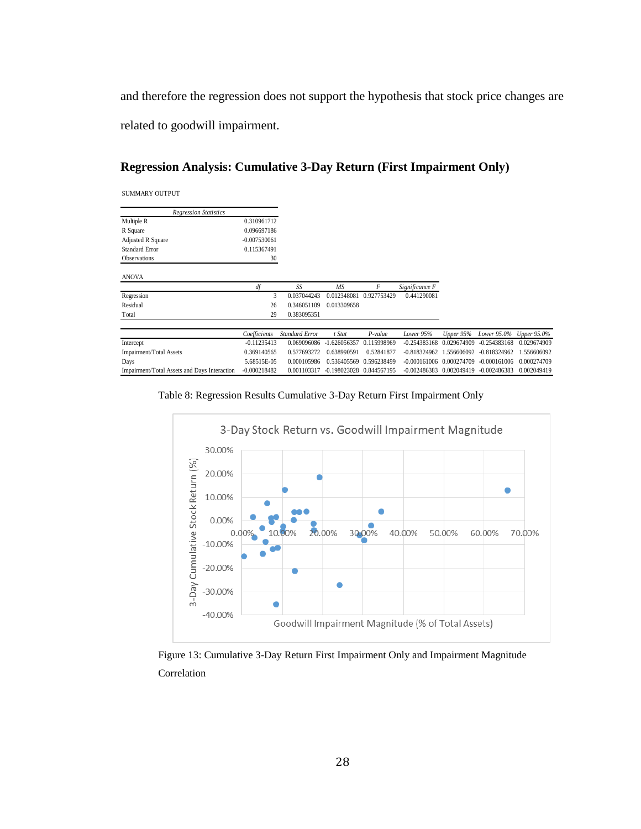and therefore the regression does not support the hypothesis that stock price changes are related to goodwill impairment.

# **Regression Analysis: Cumulative 3-Day Return (First Impairment Only)**

| <b>SUMMARY OUTPUT</b> |  |
|-----------------------|--|
|                       |  |

| <b>Regression Statistics</b> |                |                       |             |             |                |          |
|------------------------------|----------------|-----------------------|-------------|-------------|----------------|----------|
| Multiple R                   | 0.310961712    |                       |             |             |                |          |
| R Square                     | 0.096697186    |                       |             |             |                |          |
| <b>Adjusted R Square</b>     | $-0.007530061$ |                       |             |             |                |          |
| <b>Standard Error</b>        | 0.115367491    |                       |             |             |                |          |
| <b>Observations</b>          | 30             |                       |             |             |                |          |
| <b>ANOVA</b>                 | df             | SS.                   | MS          | F           | Significance F |          |
| Regression                   | 3              | 0.037044243           | 0.012348081 | 0.927753429 | 0.441290081    |          |
| Residual                     | 26             | 0.346051109           | 0.013309658 |             |                |          |
| Total                        | 29             | 0.383095351           |             |             |                |          |
|                              | Coefficients   | <b>Standard Error</b> | t Stat      | $P$ -value  | Lower 95%      | Upper 95 |

|                                                           |               | Coefficients Standard Error | t Stat | P-value                               | Lower 95% Upper 95% Lower 95.0% Upper 95.0%                                            |  |  |
|-----------------------------------------------------------|---------------|-----------------------------|--------|---------------------------------------|----------------------------------------------------------------------------------------|--|--|
| Intercept                                                 | $-0.11235413$ |                             |        |                                       | 0.069096086 -1.626056357 0.115998969 -0.254383168 0.029674909 -0.254383168 0.029674909 |  |  |
| Impairment/Total Assets                                   | 0.369140565   |                             |        |                                       | 0.577693272 0.638990591 0.52841877 -0.818324962 1.556606092 -0.818324962 1.556606092   |  |  |
| Days                                                      | 5.68515E-05   |                             |        | 0.000105986  0.536405569  0.596238499 | -0.000161006 0.000274709 -0.000161006 0.000274709                                      |  |  |
| Impairment/Total Assets and Days Interaction -0.000218482 |               |                             |        |                                       | 0.001103317 -0.198023028 0.844567195 -0.002486383 0.002049419 -0.002486383 0.002049419 |  |  |
|                                                           |               |                             |        |                                       |                                                                                        |  |  |

<span id="page-33-1"></span>



<span id="page-33-0"></span>Figure 13: Cumulative 3-Day Return First Impairment Only and Impairment Magnitude Correlation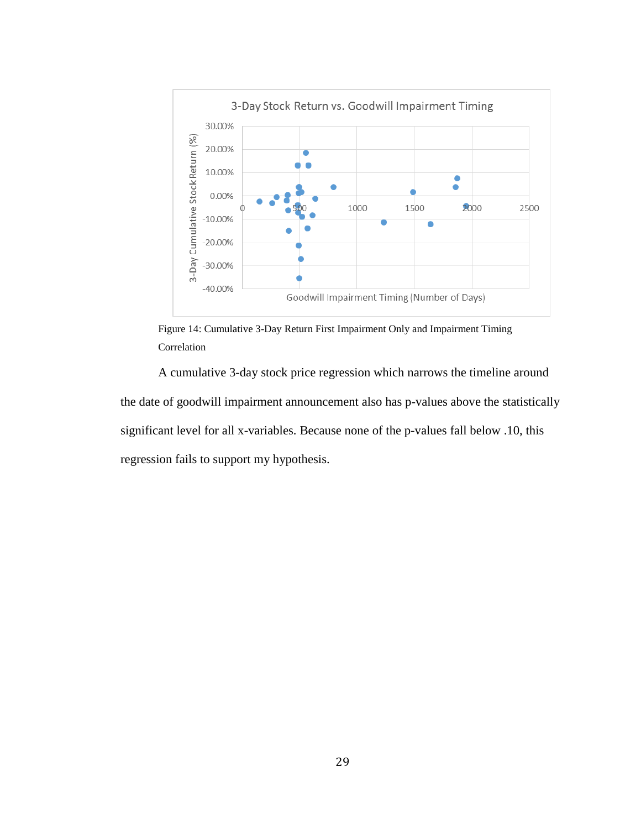

<span id="page-34-0"></span>Figure 14: Cumulative 3-Day Return First Impairment Only and Impairment Timing Correlation

A cumulative 3-day stock price regression which narrows the timeline around the date of goodwill impairment announcement also has p-values above the statistically significant level for all x-variables. Because none of the p-values fall below .10, this regression fails to support my hypothesis.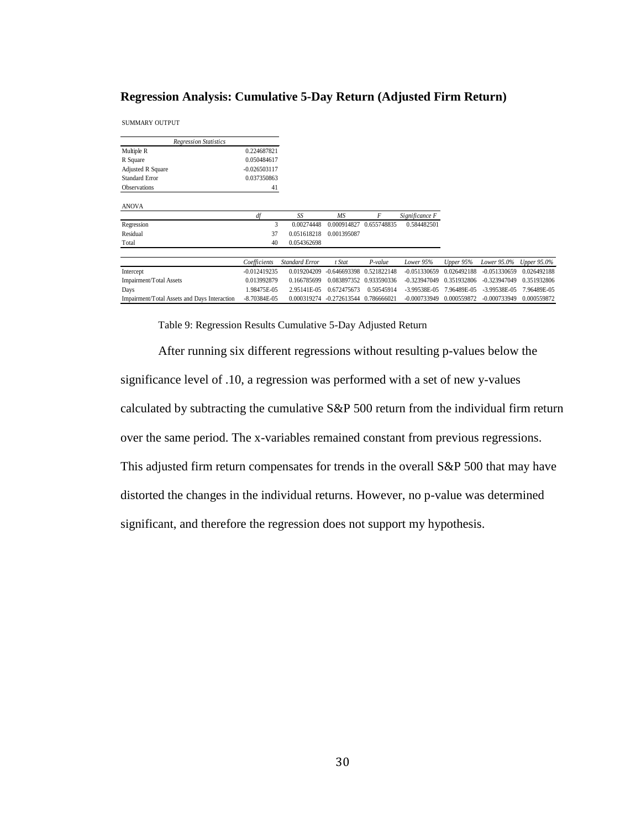#### **Regression Analysis: Cumulative 5-Day Return (Adjusted Firm Return)**

SUMMARY OUTPUT

| <b>Regression Statistics</b>                 |                  |                       |                |             |                |             |                |             |
|----------------------------------------------|------------------|-----------------------|----------------|-------------|----------------|-------------|----------------|-------------|
| Multiple R                                   | 0.224687821      |                       |                |             |                |             |                |             |
| R Square                                     | 0.050484617      |                       |                |             |                |             |                |             |
| Adjusted R Square                            | $-0.026503117$   |                       |                |             |                |             |                |             |
| <b>Standard Error</b>                        | 0.037350863      |                       |                |             |                |             |                |             |
| <b>Observations</b>                          | 41               |                       |                |             |                |             |                |             |
| <b>ANOVA</b>                                 |                  |                       |                |             |                |             |                |             |
|                                              | df               | SS                    | <b>MS</b>      | F           | Significance F |             |                |             |
| Regression                                   | 3                | 0.00274448            | 0.000914827    | 0.655748835 | 0.584482501    |             |                |             |
| Residual                                     | 37               | 0.051618218           | 0.001395087    |             |                |             |                |             |
| Total                                        | 40               | 0.054362698           |                |             |                |             |                |             |
|                                              |                  |                       |                |             |                |             |                |             |
|                                              | Coefficients     | <b>Standard Error</b> | t Stat         | P-value     | Lower 95%      | Upper 95%   | Lower 95.0%    | Upper 95.0% |
| Intercept                                    | $-0.012419235$   | 0.019204209           | $-0.646693398$ | 0.521822148 | $-0.051330659$ | 0.026492188 | $-0.051330659$ | 0.026492188 |
| Impairment/Total Assets                      | 0.013992879      | 0.166785699           | 0.083897352    | 0.933590336 | $-0.323947049$ | 0.351932806 | $-0.323947049$ | 0.351932806 |
| Days                                         | 1.98475E-05      | 2.95141E-05           | 0.672475673    | 0.50545914  | -3.99538E-05   | 7.96489E-05 | $-3.99538E-05$ | 7.96489E-05 |
| Impairment/Total Assets and Days Interaction | $-8.70384E - 05$ | 0.000319274           | $-0.272613544$ | 0.786666021 | $-0.000733949$ | 0.000559872 | $-0.000733949$ | 0.000559872 |

Table 9: Regression Results Cumulative 5-Day Adjusted Return

<span id="page-35-0"></span>After running six different regressions without resulting p-values below the significance level of .10, a regression was performed with a set of new y-values calculated by subtracting the cumulative S&P 500 return from the individual firm return over the same period. The x-variables remained constant from previous regressions. This adjusted firm return compensates for trends in the overall S&P 500 that may have distorted the changes in the individual returns. However, no p-value was determined significant, and therefore the regression does not support my hypothesis.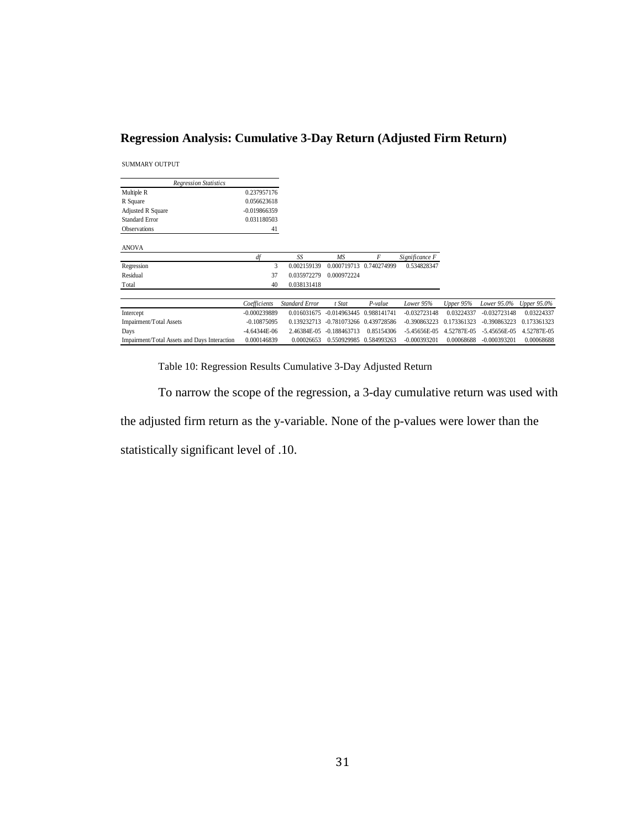# **Regression Analysis: Cumulative 3-Day Return (Adjusted Firm Return)**

SUMMARY OUTPUT

| <b>Regression Statistics</b>                 |                |                       |                |                         |                |             |                  |                    |
|----------------------------------------------|----------------|-----------------------|----------------|-------------------------|----------------|-------------|------------------|--------------------|
| Multiple R                                   | 0.237957176    |                       |                |                         |                |             |                  |                    |
| R Square                                     | 0.056623618    |                       |                |                         |                |             |                  |                    |
| Adjusted R Square                            | $-0.019866359$ |                       |                |                         |                |             |                  |                    |
| <b>Standard Error</b>                        | 0.031180503    |                       |                |                         |                |             |                  |                    |
| <b>Observations</b>                          | 41             |                       |                |                         |                |             |                  |                    |
| <b>ANOVA</b>                                 |                |                       |                |                         |                |             |                  |                    |
|                                              | df             | SS                    | MS             | F                       | Significance F |             |                  |                    |
| Regression                                   | 3              | 0.002159139           | 0.000719713    | 0.740274999             | 0.534828347    |             |                  |                    |
| Residual                                     | 37             | 0.035972279           | 0.000972224    |                         |                |             |                  |                    |
| Total                                        | 40             | 0.038131418           |                |                         |                |             |                  |                    |
|                                              |                |                       |                |                         |                |             |                  |                    |
|                                              | Coefficients   | <b>Standard Error</b> | t Stat         | P-value                 | Lower 95%      | Upper 95%   | Lower 95.0%      | <b>Upper 95.0%</b> |
| Intercept                                    | $-0.000239889$ | 0.016031675           | $-0.014963445$ | 0.988141741             | $-0.032723148$ | 0.03224337  | $-0.032723148$   | 0.03224337         |
| Impairment/Total Assets                      | $-0.10875095$  | 0.139232713           | $-0.781073266$ | 0.439728586             | $-0.390863223$ | 0.173361323 | $-0.390863223$   | 0.173361323        |
| Days                                         | $-4.64344E-06$ | 2.46384E-05           | $-0.188463713$ | 0.85154306              | $-5.45656E-05$ | 4.52787E-05 | $-5.45656E - 05$ | 4.52787E-05        |
| Impairment/Total Assets and Days Interaction | 0.000146839    | 0.00026653            |                | 0.550929985 0.584993263 | $-0.000393201$ | 0.00068688  | $-0.000393201$   | 0.00068688         |

Table 10: Regression Results Cumulative 3-Day Adjusted Return

<span id="page-36-0"></span>To narrow the scope of the regression, a 3-day cumulative return was used with the adjusted firm return as the y-variable. None of the p-values were lower than the statistically significant level of .10.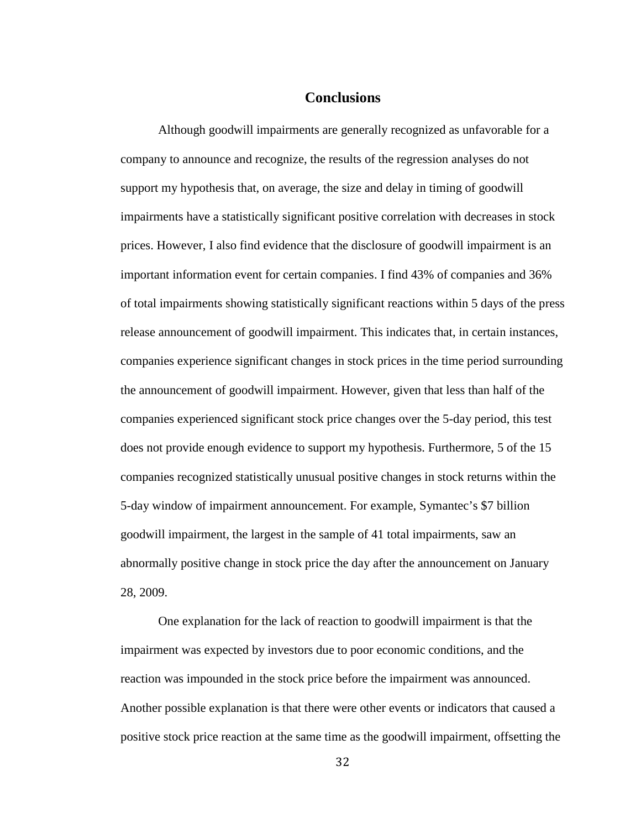## **Conclusions**

Although goodwill impairments are generally recognized as unfavorable for a company to announce and recognize, the results of the regression analyses do not support my hypothesis that, on average, the size and delay in timing of goodwill impairments have a statistically significant positive correlation with decreases in stock prices. However, I also find evidence that the disclosure of goodwill impairment is an important information event for certain companies. I find 43% of companies and 36% of total impairments showing statistically significant reactions within 5 days of the press release announcement of goodwill impairment. This indicates that, in certain instances, companies experience significant changes in stock prices in the time period surrounding the announcement of goodwill impairment. However, given that less than half of the companies experienced significant stock price changes over the 5-day period, this test does not provide enough evidence to support my hypothesis. Furthermore, 5 of the 15 companies recognized statistically unusual positive changes in stock returns within the 5-day window of impairment announcement. For example, Symantec's \$7 billion goodwill impairment, the largest in the sample of 41 total impairments, saw an abnormally positive change in stock price the day after the announcement on January 28, 2009.

One explanation for the lack of reaction to goodwill impairment is that the impairment was expected by investors due to poor economic conditions, and the reaction was impounded in the stock price before the impairment was announced. Another possible explanation is that there were other events or indicators that caused a positive stock price reaction at the same time as the goodwill impairment, offsetting the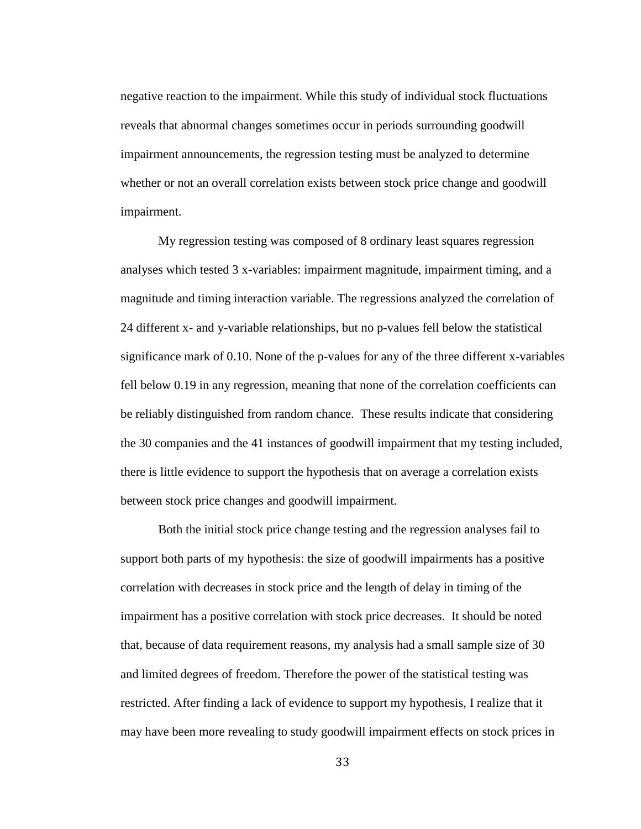negative reaction to the impairment. While this study of individual stock fluctuations reveals that abnormal changes sometimes occur in periods surrounding goodwill impairment announcements, the regression testing must be analyzed to determine whether or not an overall correlation exists between stock price change and goodwill impairment.

My regression testing was composed of 8 ordinary least squares regression analyses which tested 3 x-variables: impairment magnitude, impairment timing, and a magnitude and timing interaction variable. The regressions analyzed the correlation of 24 different x- and y-variable relationships, but no p-values fell below the statistical significance mark of 0.10. None of the p-values for any of the three different x-variables fell below 0.19 in any regression, meaning that none of the correlation coefficients can be reliably distinguished from random chance. These results indicate that considering the 30 companies and the 41 instances of goodwill impairment that my testing included, there is little evidence to support the hypothesis that on average a correlation exists between stock price changes and goodwill impairment.

Both the initial stock price change testing and the regression analyses fail to support both parts of my hypothesis: the size of goodwill impairments has a positive correlation with decreases in stock price and the length of delay in timing of the impairment has a positive correlation with stock price decreases. It should be noted that, because of data requirement reasons, my analysis had a small sample size of 30 and limited degrees of freedom. Therefore the power of the statistical testing was restricted. After finding a lack of evidence to support my hypothesis, I realize that it may have been more revealing to study goodwill impairment effects on stock prices in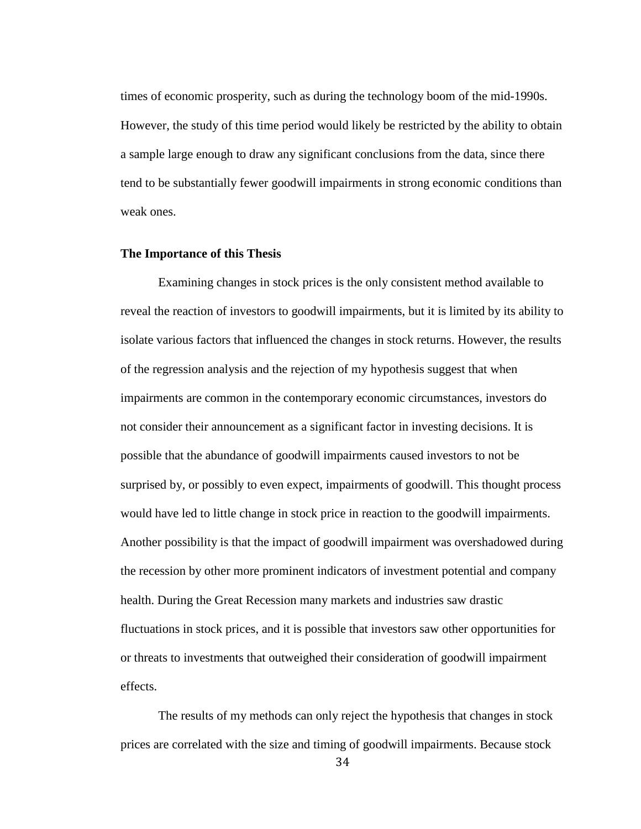times of economic prosperity, such as during the technology boom of the mid-1990s. However, the study of this time period would likely be restricted by the ability to obtain a sample large enough to draw any significant conclusions from the data, since there tend to be substantially fewer goodwill impairments in strong economic conditions than weak ones.

#### **The Importance of this Thesis**

Examining changes in stock prices is the only consistent method available to reveal the reaction of investors to goodwill impairments, but it is limited by its ability to isolate various factors that influenced the changes in stock returns. However, the results of the regression analysis and the rejection of my hypothesis suggest that when impairments are common in the contemporary economic circumstances, investors do not consider their announcement as a significant factor in investing decisions. It is possible that the abundance of goodwill impairments caused investors to not be surprised by, or possibly to even expect, impairments of goodwill. This thought process would have led to little change in stock price in reaction to the goodwill impairments. Another possibility is that the impact of goodwill impairment was overshadowed during the recession by other more prominent indicators of investment potential and company health. During the Great Recession many markets and industries saw drastic fluctuations in stock prices, and it is possible that investors saw other opportunities for or threats to investments that outweighed their consideration of goodwill impairment effects.

The results of my methods can only reject the hypothesis that changes in stock prices are correlated with the size and timing of goodwill impairments. Because stock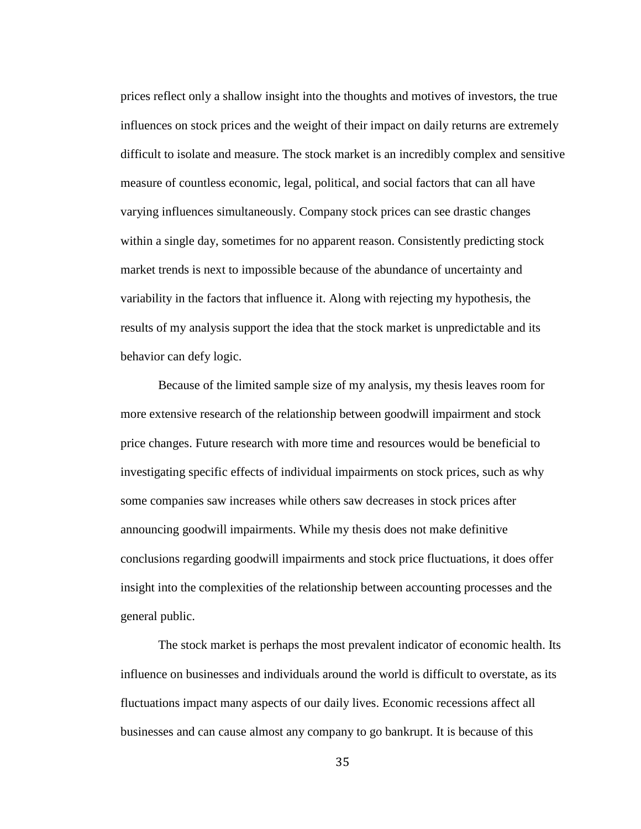prices reflect only a shallow insight into the thoughts and motives of investors, the true influences on stock prices and the weight of their impact on daily returns are extremely difficult to isolate and measure. The stock market is an incredibly complex and sensitive measure of countless economic, legal, political, and social factors that can all have varying influences simultaneously. Company stock prices can see drastic changes within a single day, sometimes for no apparent reason. Consistently predicting stock market trends is next to impossible because of the abundance of uncertainty and variability in the factors that influence it. Along with rejecting my hypothesis, the results of my analysis support the idea that the stock market is unpredictable and its behavior can defy logic.

Because of the limited sample size of my analysis, my thesis leaves room for more extensive research of the relationship between goodwill impairment and stock price changes. Future research with more time and resources would be beneficial to investigating specific effects of individual impairments on stock prices, such as why some companies saw increases while others saw decreases in stock prices after announcing goodwill impairments. While my thesis does not make definitive conclusions regarding goodwill impairments and stock price fluctuations, it does offer insight into the complexities of the relationship between accounting processes and the general public.

The stock market is perhaps the most prevalent indicator of economic health. Its influence on businesses and individuals around the world is difficult to overstate, as its fluctuations impact many aspects of our daily lives. Economic recessions affect all businesses and can cause almost any company to go bankrupt. It is because of this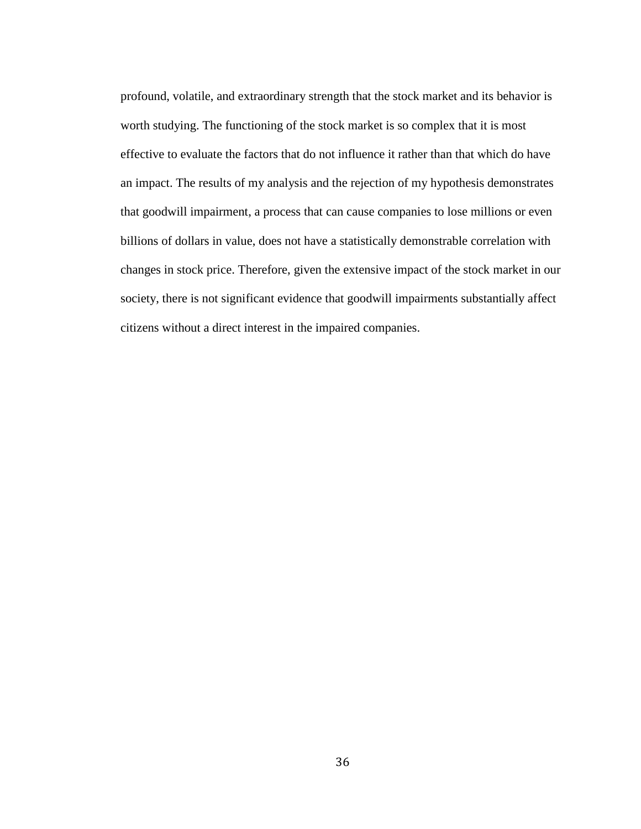profound, volatile, and extraordinary strength that the stock market and its behavior is worth studying. The functioning of the stock market is so complex that it is most effective to evaluate the factors that do not influence it rather than that which do have an impact. The results of my analysis and the rejection of my hypothesis demonstrates that goodwill impairment, a process that can cause companies to lose millions or even billions of dollars in value, does not have a statistically demonstrable correlation with changes in stock price. Therefore, given the extensive impact of the stock market in our society, there is not significant evidence that goodwill impairments substantially affect citizens without a direct interest in the impaired companies.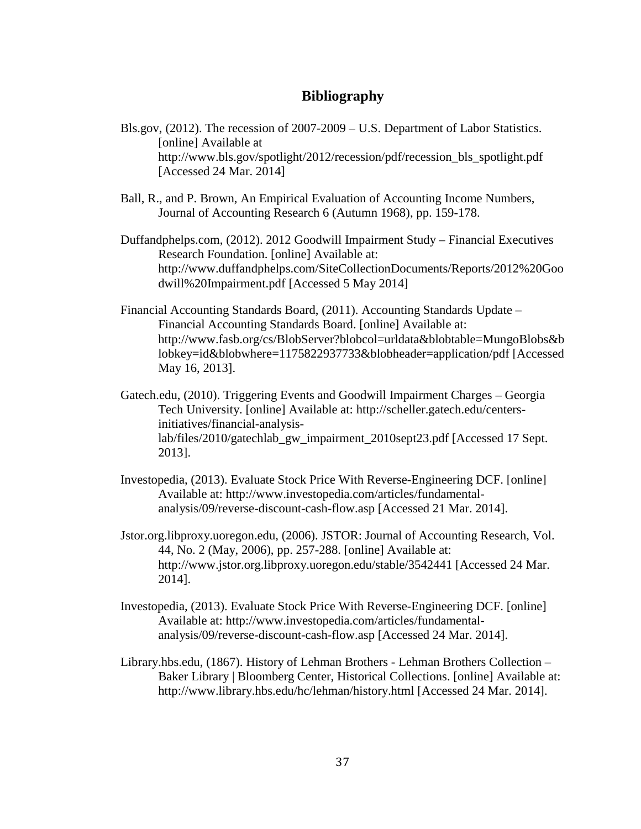# **Bibliography**

- Bls.gov, (2012). The recession of 2007-2009 U.S. Department of Labor Statistics. [online] Available at http://www.bls.gov/spotlight/2012/recession/pdf/recession\_bls\_spotlight.pdf [Accessed 24 Mar. 2014]
- Ball, R., and P. Brown, An Empirical Evaluation of Accounting Income Numbers, Journal of Accounting Research 6 (Autumn 1968), pp. 159-178.
- Duffandphelps.com, (2012). 2012 Goodwill Impairment Study Financial Executives Research Foundation. [online] Available at: [http://www.duffandphelps.com/SiteCollectionDocuments/Reports/2012%20Goo](http://www.duffandphelps.com/SiteCollectionDocuments/Reports/2012%20Goodwill%20Impairment.pdf) [dwill%20Impairment.pdf](http://www.duffandphelps.com/SiteCollectionDocuments/Reports/2012%20Goodwill%20Impairment.pdf) [Accessed 5 May 2014]
- Financial Accounting Standards Board, (2011). Accounting Standards Update Financial Accounting Standards Board. [online] Available at: [http://www.fasb.org/cs/BlobServer?blobcol=urldata&blobtable=MungoBlobs&b](http://www.fasb.org/cs/BlobServer?blobcol=urldata&blobtable=MungoBlobs&blobkey=id&blobwhere=1175822937733&blobheader=application/pdf) [lobkey=id&blobwhere=1175822937733&blobheader=application/pdf](http://www.fasb.org/cs/BlobServer?blobcol=urldata&blobtable=MungoBlobs&blobkey=id&blobwhere=1175822937733&blobheader=application/pdf) [Accessed May 16, 2013].
- Gatech.edu, (2010). Triggering Events and Goodwill Impairment Charges Georgia Tech University. [online] Available at: [http://scheller.gatech.edu/centers](http://scheller.gatech.edu/centers-initiatives/financial-analysis-lab/files/2010/gatechlab_gw_impairment_2010sept23.pdf)[initiatives/financial-analysis](http://scheller.gatech.edu/centers-initiatives/financial-analysis-lab/files/2010/gatechlab_gw_impairment_2010sept23.pdf)[lab/files/2010/gatechlab\\_gw\\_impairment\\_2010sept23.pdf](http://scheller.gatech.edu/centers-initiatives/financial-analysis-lab/files/2010/gatechlab_gw_impairment_2010sept23.pdf) [Accessed 17 Sept. 2013].
- Investopedia, (2013). Evaluate Stock Price With Reverse-Engineering DCF. [online] Available at: http://www.investopedia.com/articles/fundamentalanalysis/09/reverse-discount-cash-flow.asp [Accessed 21 Mar. 2014].
- Jstor.org.libproxy.uoregon.edu, (2006). JSTOR: Journal of Accounting Research, Vol. 44, No. 2 (May, 2006), pp. 257-288. [online] Available at: http://www.jstor.org.libproxy.uoregon.edu/stable/3542441 [Accessed 24 Mar. 2014].
- Investopedia, (2013). Evaluate Stock Price With Reverse-Engineering DCF. [online] Available at: http://www.investopedia.com/articles/fundamentalanalysis/09/reverse-discount-cash-flow.asp [Accessed 24 Mar. 2014].
- Library.hbs.edu, (1867). History of Lehman Brothers Lehman Brothers Collection Baker Library | Bloomberg Center, Historical Collections. [online] Available at: http://www.library.hbs.edu/hc/lehman/history.html [Accessed 24 Mar. 2014].